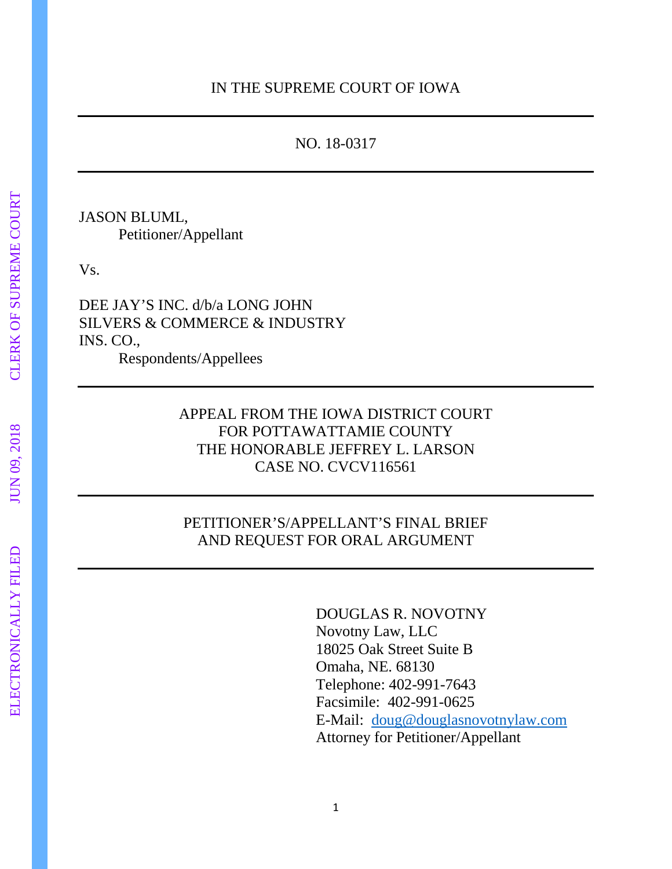# NO. 18-0317

JASON BLUML, Petitioner/Appellant

Vs.

DEE JAY'S INC. d/b/a LONG JOHN SILVERS & COMMERCE & INDUSTRY INS. CO., Respondents/Appellees

# APPEAL FROM THE IOWA DISTRICT COURT FOR POTTAWATTAMIE COUNTY THE HONORABLE JEFFREY L. LARSON CASE NO. CVCV116561

# PETITIONER'S/APPELLANT'S FINAL BRIEF AND REQUEST FOR ORAL ARGUMENT

DOUGLAS R. NOVOTNY Novotny Law, LLC 18025 Oak Street Suite B Omaha, NE. 68130 Telephone: 402-991-7643 Facsimile: 402-991-0625 E-Mail: [doug@douglasnovotnylaw.com](mailto:doug@douglasnovotnylaw.com) Attorney for Petitioner/Appellant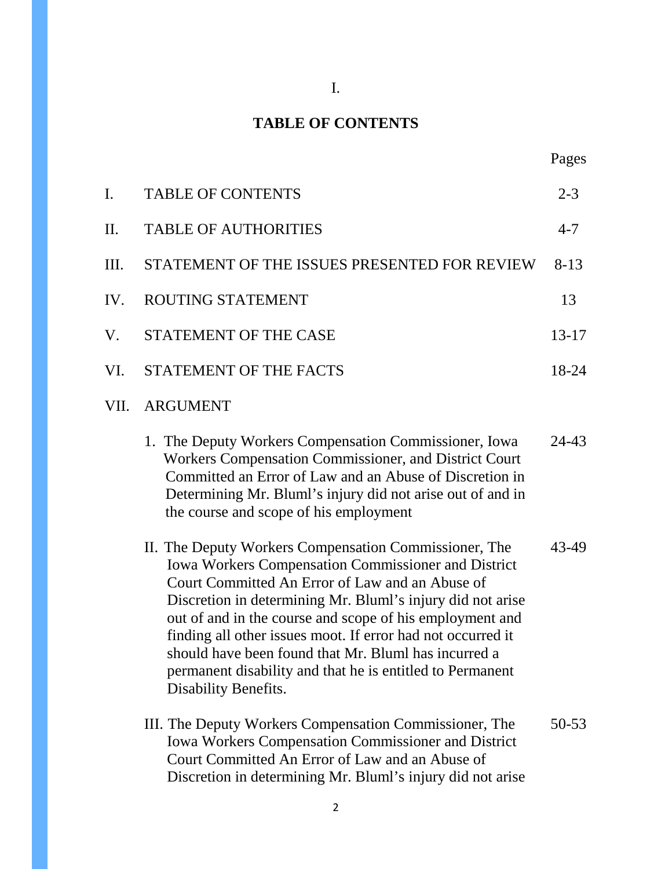# I.

# **TABLE OF CONTENTS**

| I.   | <b>TABLE OF CONTENTS</b>                                                                                                                                                                                                                                                                                                                                                                                                                                                                                     | $2 - 3$   |
|------|--------------------------------------------------------------------------------------------------------------------------------------------------------------------------------------------------------------------------------------------------------------------------------------------------------------------------------------------------------------------------------------------------------------------------------------------------------------------------------------------------------------|-----------|
| II.  | <b>TABLE OF AUTHORITIES</b>                                                                                                                                                                                                                                                                                                                                                                                                                                                                                  | $4 - 7$   |
| Ш.   | STATEMENT OF THE ISSUES PRESENTED FOR REVIEW                                                                                                                                                                                                                                                                                                                                                                                                                                                                 | $8-13$    |
| IV.  | ROUTING STATEMENT                                                                                                                                                                                                                                                                                                                                                                                                                                                                                            | 13        |
| V.   | STATEMENT OF THE CASE                                                                                                                                                                                                                                                                                                                                                                                                                                                                                        | 13-17     |
| VI.  | <b>STATEMENT OF THE FACTS</b>                                                                                                                                                                                                                                                                                                                                                                                                                                                                                | 18-24     |
| VII. | <b>ARGUMENT</b>                                                                                                                                                                                                                                                                                                                                                                                                                                                                                              |           |
|      | 1. The Deputy Workers Compensation Commissioner, Iowa<br>Workers Compensation Commissioner, and District Court<br>Committed an Error of Law and an Abuse of Discretion in<br>Determining Mr. Bluml's injury did not arise out of and in<br>the course and scope of his employment                                                                                                                                                                                                                            | 24-43     |
|      | II. The Deputy Workers Compensation Commissioner, The<br><b>Iowa Workers Compensation Commissioner and District</b><br>Court Committed An Error of Law and an Abuse of<br>Discretion in determining Mr. Bluml's injury did not arise<br>out of and in the course and scope of his employment and<br>finding all other issues moot. If error had not occurred it<br>should have been found that Mr. Bluml has incurred a<br>permanent disability and that he is entitled to Permanent<br>Disability Benefits. | 43-49     |
|      | III. The Deputy Workers Compensation Commissioner, The<br><b>Iowa Workers Compensation Commissioner and District</b><br>Court Committed An Error of Law and an Abuse of<br>Discretion in determining Mr. Bluml's injury did not arise                                                                                                                                                                                                                                                                        | $50 - 53$ |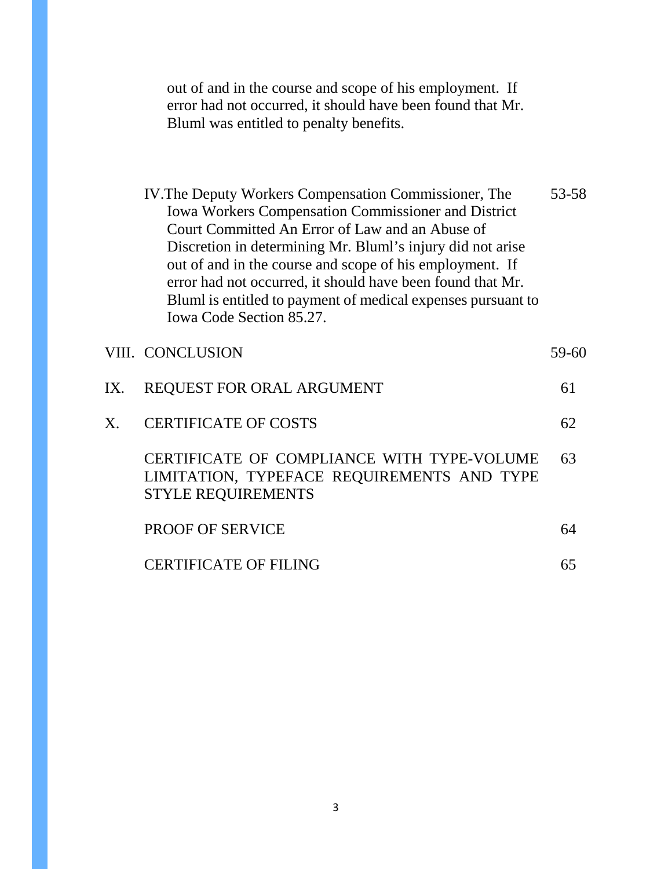out of and in the course and scope of his employment. If error had not occurred, it should have been found that Mr. Bluml was entitled to penalty benefits.

| IV. The Deputy Workers Compensation Commissioner, The        | 53-58 |
|--------------------------------------------------------------|-------|
| Iowa Workers Compensation Commissioner and District          |       |
| Court Committed An Error of Law and an Abuse of              |       |
| Discretion in determining Mr. Bluml's injury did not arise   |       |
| out of and in the course and scope of his employment. If     |       |
| error had not occurred, it should have been found that Mr.   |       |
| Bluml is entitled to payment of medical expenses pursuant to |       |
| Iowa Code Section 85.27.                                     |       |
|                                                              |       |

|     | VIII. CONCLUSION                                                                                                      | 59-60 |
|-----|-----------------------------------------------------------------------------------------------------------------------|-------|
| IX. | <b>REQUEST FOR ORAL ARGUMENT</b>                                                                                      | 61    |
| X.  | <b>CERTIFICATE OF COSTS</b>                                                                                           | 62    |
|     | CERTIFICATE OF COMPLIANCE WITH TYPE-VOLUME<br>LIMITATION, TYPEFACE REQUIREMENTS AND TYPE<br><b>STYLE REQUIREMENTS</b> | 63    |
|     | <b>PROOF OF SERVICE</b>                                                                                               | 64    |
|     | <b>CERTIFICATE OF FILING</b>                                                                                          |       |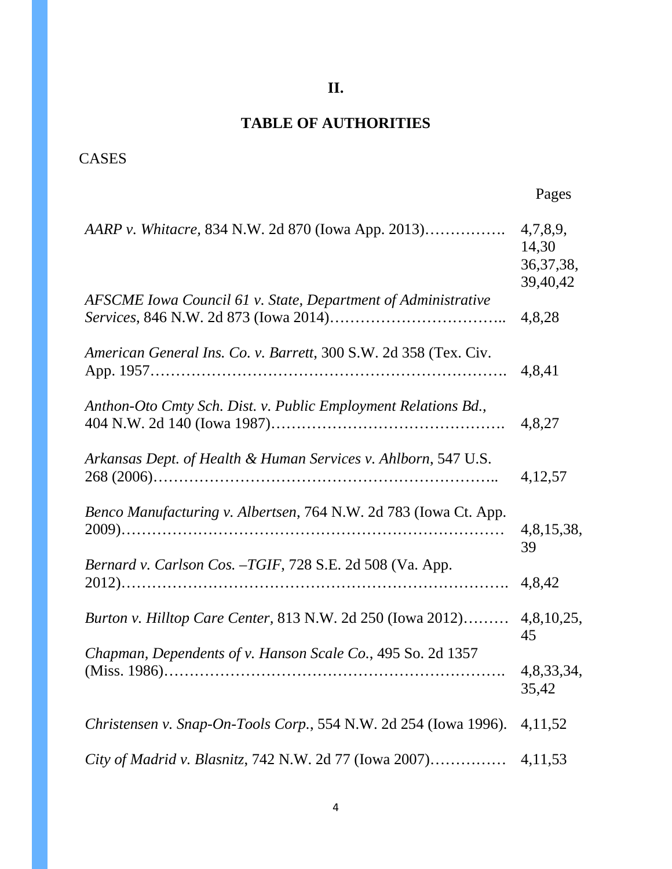**II.**

# **TABLE OF AUTHORITIES**

# CASES

| AARP v. Whitacre, 834 N.W. 2d 870 (Iowa App. 2013)               | 4,7,8,9,<br>14,30<br>36, 37, 38,<br>39,40,42 |
|------------------------------------------------------------------|----------------------------------------------|
| AFSCME Iowa Council 61 v. State, Department of Administrative    | 4,8,28                                       |
| American General Ins. Co. v. Barrett, 300 S.W. 2d 358 (Tex. Civ. | 4,8,41                                       |
| Anthon-Oto Cmty Sch. Dist. v. Public Employment Relations Bd.,   | 4,8,27                                       |
| Arkansas Dept. of Health & Human Services v. Ahlborn, 547 U.S.   | 4, 12, 57                                    |
| Benco Manufacturing v. Albertsen, 764 N.W. 2d 783 (Iowa Ct. App. | 4,8,15,38,<br>39                             |
| Bernard v. Carlson Cos. -TGIF, 728 S.E. 2d 508 (Va. App.         | 4,8,42                                       |
| Burton v. Hilltop Care Center, 813 N.W. 2d 250 (Iowa 2012)       | 4,8,10,25,<br>45                             |
| Chapman, Dependents of v. Hanson Scale Co., 495 So. 2d 1357      | 4,8,33,34,<br>35,42                          |
| Christensen v. Snap-On-Tools Corp., 554 N.W. 2d 254 (Iowa 1996). | 4, 11, 52                                    |
| City of Madrid v. Blasnitz, 742 N.W. 2d 77 (Iowa 2007)           | 4,11,53                                      |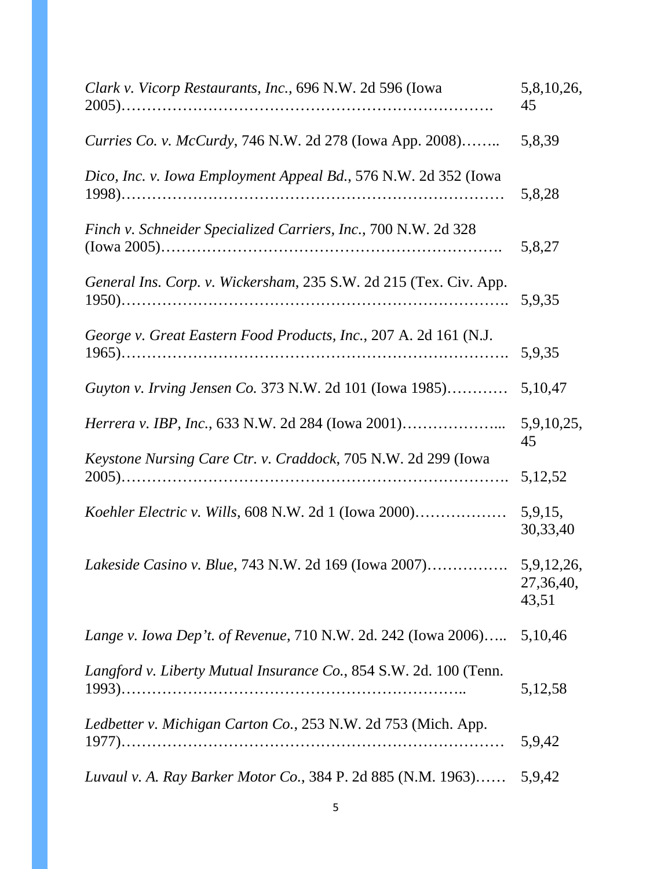| Clark v. Vicorp Restaurants, Inc., 696 N.W. 2d 596 (Iowa          |                                  |
|-------------------------------------------------------------------|----------------------------------|
| Curries Co. v. McCurdy, 746 N.W. 2d 278 (Iowa App. 2008)          | 5,8,39                           |
| Dico, Inc. v. Iowa Employment Appeal Bd., 576 N.W. 2d 352 (Iowa   | 5,8,28                           |
| Finch v. Schneider Specialized Carriers, Inc., 700 N.W. 2d 328    | 5,8,27                           |
| General Ins. Corp. v. Wickersham, 235 S.W. 2d 215 (Tex. Civ. App. | 5,9,35                           |
| George v. Great Eastern Food Products, Inc., 207 A. 2d 161 (N.J.  | 5,9,35                           |
| Guyton v. Irving Jensen Co. 373 N.W. 2d 101 (Iowa 1985)           | 5,10,47                          |
| <i>Herrera v. IBP, Inc., 633 N.W. 2d 284 (Iowa 2001)</i>          | 5,9,10,25,<br>45                 |
| Keystone Nursing Care Ctr. v. Craddock, 705 N.W. 2d 299 (Iowa     | 5, 12, 52                        |
|                                                                   | 5,9,15,<br>30,33,40              |
| Lakeside Casino v. Blue, 743 N.W. 2d 169 (Iowa 2007)              | 5,9,12,26,<br>27,36,40,<br>43,51 |
| Lange v. Iowa Dep't. of Revenue, 710 N.W. 2d. 242 (Iowa 2006)     | 5,10,46                          |
| Langford v. Liberty Mutual Insurance Co., 854 S.W. 2d. 100 (Tenn. | 5,12,58                          |
| Ledbetter v. Michigan Carton Co., 253 N.W. 2d 753 (Mich. App.     | 5,9,42                           |
| Luvaul v. A. Ray Barker Motor Co., 384 P. 2d 885 (N.M. 1963)      | 5,9,42                           |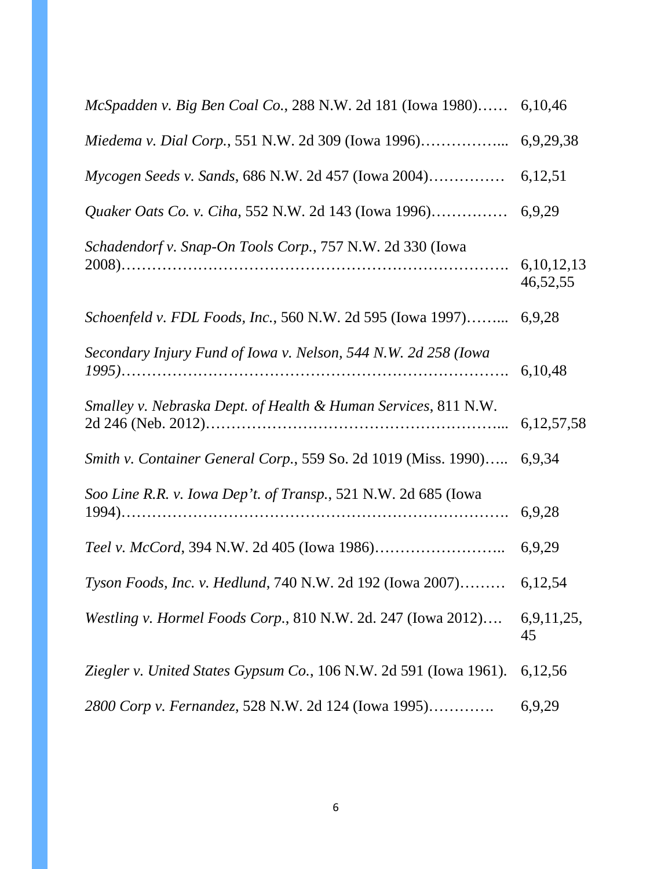| McSpadden v. Big Ben Coal Co., 288 N.W. 2d 181 (Iowa 1980) 6,10,46      |          |
|-------------------------------------------------------------------------|----------|
| Miedema v. Dial Corp., 551 N.W. 2d 309 (Iowa 1996) 6,9,29,38            |          |
|                                                                         |          |
|                                                                         |          |
| Schadendorf v. Snap-On Tools Corp., 757 N.W. 2d 330 (Iowa               | 46,52,55 |
| Schoenfeld v. FDL Foods, Inc., 560 N.W. 2d 595 (Iowa 1997) 6,9,28       |          |
| Secondary Injury Fund of Iowa v. Nelson, 544 N.W. 2d 258 (Iowa          | 6,10,48  |
| Smalley v. Nebraska Dept. of Health & Human Services, 811 N.W.          |          |
| Smith v. Container General Corp., 559 So. 2d 1019 (Miss. 1990) 6,9,34   |          |
| Soo Line R.R. v. Iowa Dep't. of Transp., 521 N.W. 2d 685 (Iowa          | 6,9,28   |
|                                                                         |          |
| Tyson Foods, Inc. v. Hedlund, 740 N.W. 2d 192 (Iowa 2007) 6,12,54       |          |
| Westling v. Hormel Foods Corp., 810 N.W. 2d. 247 (Iowa 2012) 6,9,11,25, | 45       |
| Ziegler v. United States Gypsum Co., 106 N.W. 2d 591 (Iowa 1961).       | 6,12,56  |
| 2800 Corp v. Fernandez, 528 N.W. 2d 124 (Iowa 1995)                     | 6,9,29   |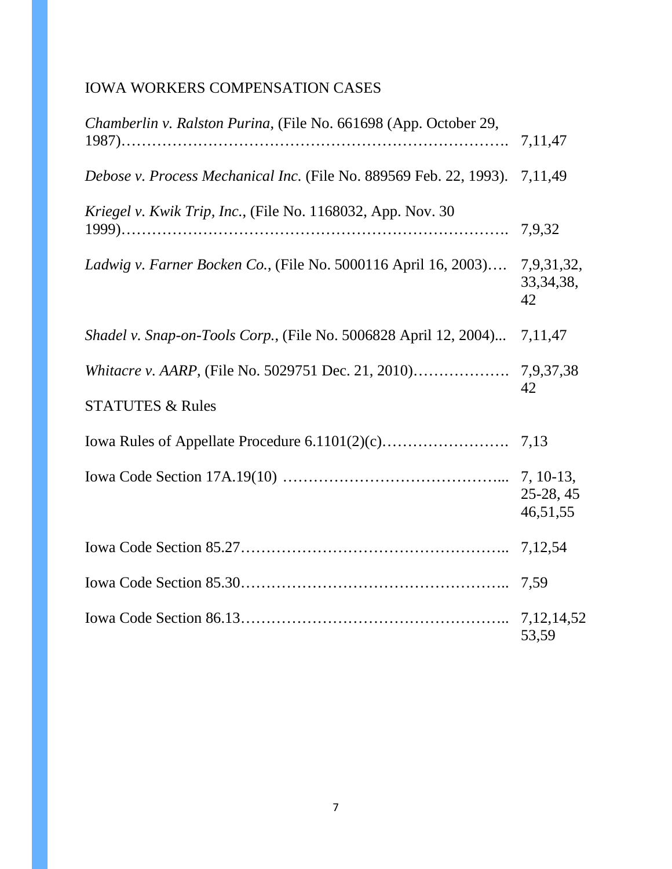# IOWA WORKERS COMPENSATION CASES

| Chamberlin v. Ralston Purina, (File No. 661698 (App. October 29,           |                         |
|----------------------------------------------------------------------------|-------------------------|
| Debose v. Process Mechanical Inc. (File No. 889569 Feb. 22, 1993). 7,11,49 |                         |
| Kriegel v. Kwik Trip, Inc., (File No. 1168032, App. Nov. 30                |                         |
| Ladwig v. Farner Bocken Co., (File No. 5000116 April 16, 2003) 7,9,31,32,  | 33, 34, 38,<br>42       |
| <i>Shadel v. Snap-on-Tools Corp.</i> , (File No. 5006828 April 12, 2004)   | 7, 11, 47               |
|                                                                            | 42                      |
| <b>STATUTES &amp; Rules</b>                                                |                         |
|                                                                            |                         |
|                                                                            | $25-28, 45$<br>46,51,55 |
|                                                                            |                         |
|                                                                            |                         |
|                                                                            | 53,59                   |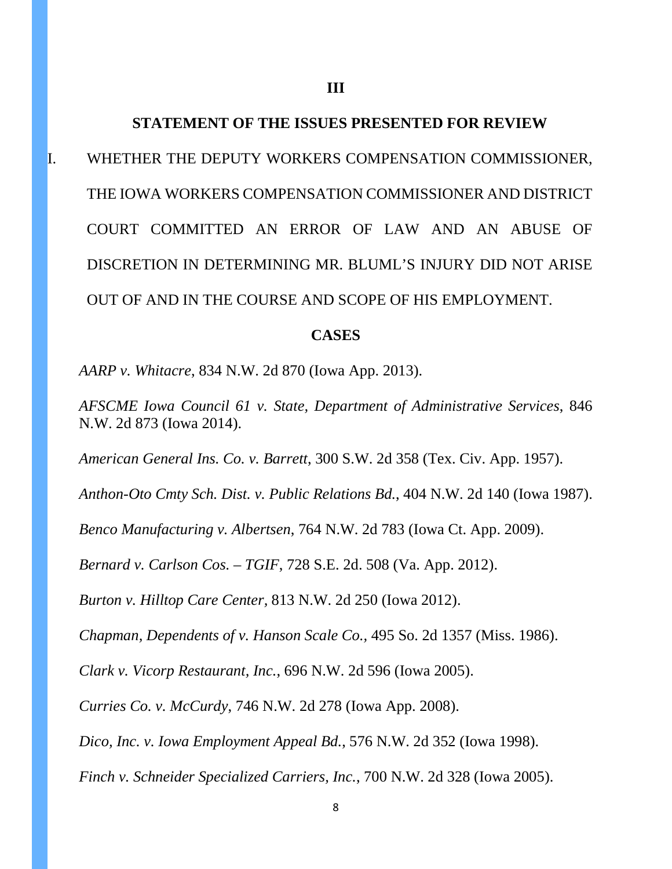#### **STATEMENT OF THE ISSUES PRESENTED FOR REVIEW**

I. WHETHER THE DEPUTY WORKERS COMPENSATION COMMISSIONER, THE IOWA WORKERS COMPENSATION COMMISSIONER AND DISTRICT COURT COMMITTED AN ERROR OF LAW AND AN ABUSE OF DISCRETION IN DETERMINING MR. BLUML'S INJURY DID NOT ARISE OUT OF AND IN THE COURSE AND SCOPE OF HIS EMPLOYMENT.

#### **CASES**

*AARP v. Whitacre*, 834 N.W. 2d 870 (Iowa App. 2013).

*AFSCME Iowa Council 61 v. State, Department of Administrative Services*, 846 N.W. 2d 873 (Iowa 2014).

*American General Ins. Co. v. Barrett*, 300 S.W. 2d 358 (Tex. Civ. App. 1957).

*Anthon-Oto Cmty Sch. Dist. v. Public Relations Bd.*, 404 N.W. 2d 140 (Iowa 1987).

*Benco Manufacturing v. Albertsen*, 764 N.W. 2d 783 (Iowa Ct. App. 2009).

*Bernard v. Carlson Cos. – TGIF*, 728 S.E. 2d. 508 (Va. App. 2012).

*Burton v. Hilltop Care Center,* 813 N.W. 2d 250 (Iowa 2012).

*Chapman, Dependents of v. Hanson Scale Co.,* 495 So. 2d 1357 (Miss. 1986).

*Clark v. Vicorp Restaurant, Inc.*, 696 N.W. 2d 596 (Iowa 2005).

*Curries Co. v. McCurdy*, 746 N.W. 2d 278 (Iowa App. 2008).

*Dico, Inc. v. Iowa Employment Appeal Bd.*, 576 N.W. 2d 352 (Iowa 1998).

*Finch v. Schneider Specialized Carriers, Inc.*, 700 N.W. 2d 328 (Iowa 2005).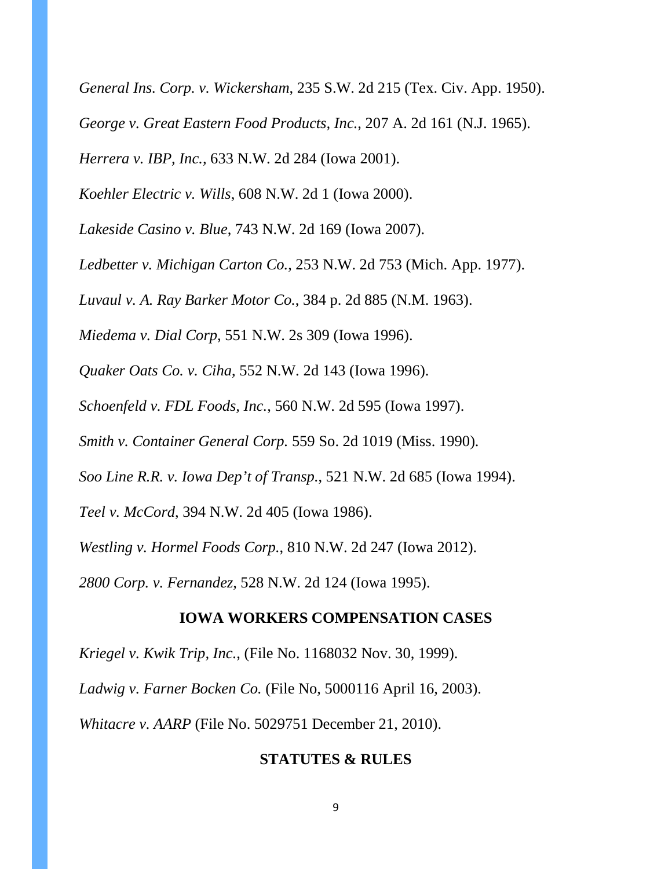*General Ins. Corp. v. Wickersham*, 235 S.W. 2d 215 (Tex. Civ. App. 1950).

*George v. Great Eastern Food Products, Inc.*, 207 A. 2d 161 (N.J. 1965).

*Herrera v. IBP, Inc.,* 633 N.W. 2d 284 (Iowa 2001).

*Koehler Electric v. Wills*, 608 N.W. 2d 1 (Iowa 2000).

*Lakeside Casino v. Blue*, 743 N.W. 2d 169 (Iowa 2007).

*Ledbetter v. Michigan Carton Co.*, 253 N.W. 2d 753 (Mich. App. 1977).

*Luvaul v. A. Ray Barker Motor Co.*, 384 p. 2d 885 (N.M. 1963).

*Miedema v. Dial Corp*, 551 N.W. 2s 309 (Iowa 1996).

*Quaker Oats Co. v. Ciha*, 552 N.W. 2d 143 (Iowa 1996).

*Schoenfeld v. FDL Foods, Inc.*, 560 N.W. 2d 595 (Iowa 1997).

*Smith v. Container General Corp.* 559 So. 2d 1019 (Miss. 1990).

*Soo Line R.R. v. Iowa Dep't of Transp.*, 521 N.W. 2d 685 (Iowa 1994).

*Teel v. McCord*, 394 N.W. 2d 405 (Iowa 1986).

*Westling v. Hormel Foods Corp.*, 810 N.W. 2d 247 (Iowa 2012).

*2800 Corp. v. Fernandez*, 528 N.W. 2d 124 (Iowa 1995).

#### **IOWA WORKERS COMPENSATION CASES**

*Kriegel v. Kwik Trip, Inc.*, (File No. 1168032 Nov. 30, 1999).

*Ladwig v. Farner Bocken Co.* (File No, 5000116 April 16, 2003).

*Whitacre v. AARP* (File No. 5029751 December 21, 2010).

#### **STATUTES & RULES**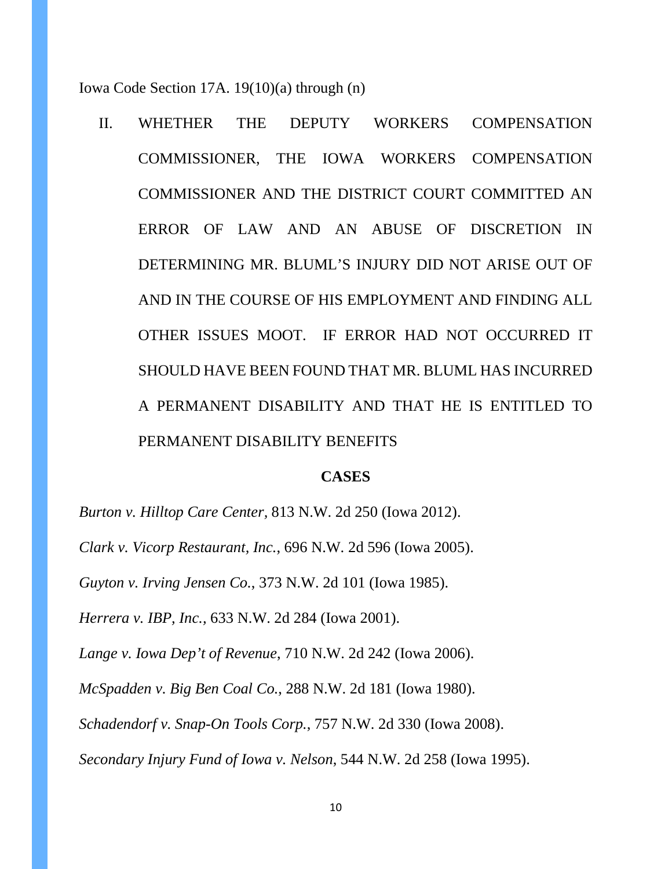Iowa Code Section 17A. 19(10)(a) through (n)

II. WHETHER THE DEPUTY WORKERS COMPENSATION COMMISSIONER, THE IOWA WORKERS COMPENSATION COMMISSIONER AND THE DISTRICT COURT COMMITTED AN ERROR OF LAW AND AN ABUSE OF DISCRETION IN DETERMINING MR. BLUML'S INJURY DID NOT ARISE OUT OF AND IN THE COURSE OF HIS EMPLOYMENT AND FINDING ALL OTHER ISSUES MOOT. IF ERROR HAD NOT OCCURRED IT SHOULD HAVE BEEN FOUND THAT MR. BLUML HAS INCURRED A PERMANENT DISABILITY AND THAT HE IS ENTITLED TO PERMANENT DISABILITY BENEFITS

#### **CASES**

*Burton v. Hilltop Care Center,* 813 N.W. 2d 250 (Iowa 2012).

*Clark v. Vicorp Restaurant, Inc.*, 696 N.W. 2d 596 (Iowa 2005).

*Guyton v. Irving Jensen Co.*, 373 N.W. 2d 101 (Iowa 1985).

*Herrera v. IBP, Inc.,* 633 N.W. 2d 284 (Iowa 2001).

*Lange v. Iowa Dep't of Revenue*, 710 N.W. 2d 242 (Iowa 2006).

*McSpadden v. Big Ben Coal Co.*, 288 N.W. 2d 181 (Iowa 1980).

*Schadendorf v. Snap-On Tools Corp.*, 757 N.W. 2d 330 (Iowa 2008).

*Secondary Injury Fund of Iowa v. Nelson*, 544 N.W. 2d 258 (Iowa 1995).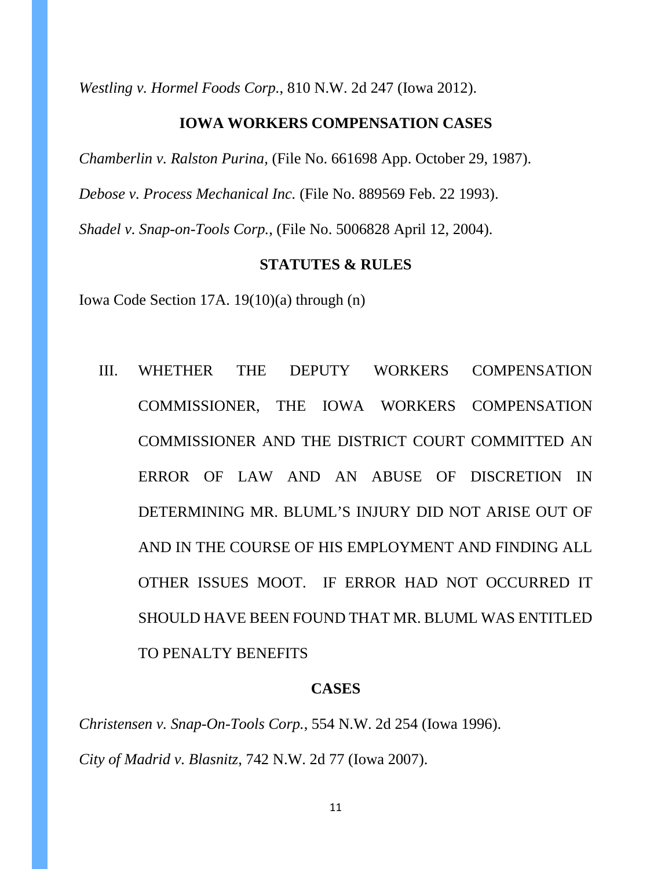*Westling v. Hormel Foods Corp.*, 810 N.W. 2d 247 (Iowa 2012).

### **IOWA WORKERS COMPENSATION CASES**

*Chamberlin v. Ralston Purina,* (File No. 661698 App. October 29, 1987).

*Debose v. Process Mechanical Inc.* (File No. 889569 Feb. 22 1993).

*Shadel v. Snap-on-Tools Corp.*, (File No. 5006828 April 12, 2004).

#### **STATUTES & RULES**

Iowa Code Section 17A. 19(10)(a) through (n)

III. WHETHER THE DEPUTY WORKERS COMPENSATION COMMISSIONER, THE IOWA WORKERS COMPENSATION COMMISSIONER AND THE DISTRICT COURT COMMITTED AN ERROR OF LAW AND AN ABUSE OF DISCRETION IN DETERMINING MR. BLUML'S INJURY DID NOT ARISE OUT OF AND IN THE COURSE OF HIS EMPLOYMENT AND FINDING ALL OTHER ISSUES MOOT. IF ERROR HAD NOT OCCURRED IT SHOULD HAVE BEEN FOUND THAT MR. BLUML WAS ENTITLED TO PENALTY BENEFITS

#### **CASES**

*Christensen v. Snap-On-Tools Corp.*, 554 N.W. 2d 254 (Iowa 1996).

*City of Madrid v. Blasnitz*, 742 N.W. 2d 77 (Iowa 2007).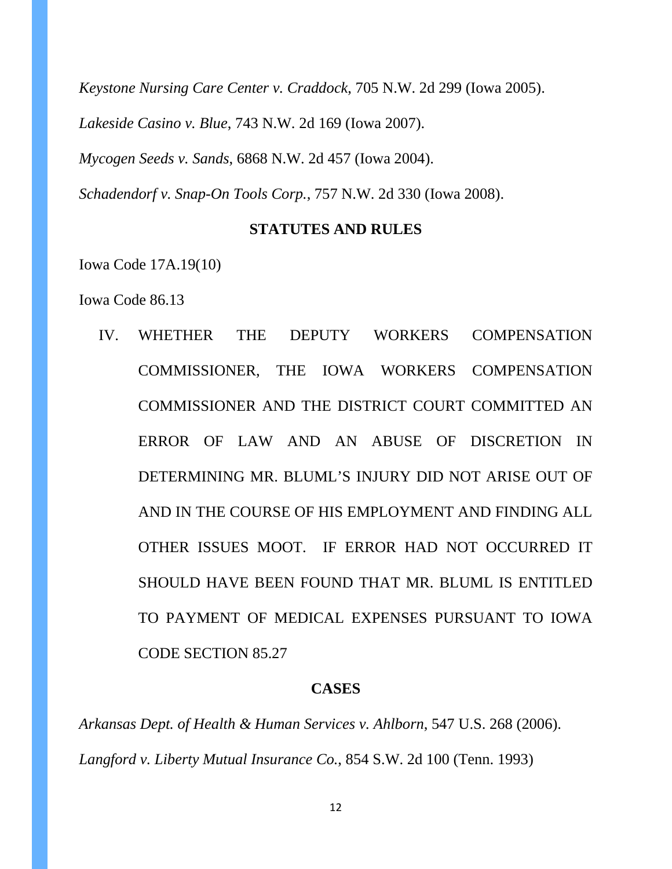*Keystone Nursing Care Center v. Craddock*, 705 N.W. 2d 299 (Iowa 2005). *Lakeside Casino v. Blue*, 743 N.W. 2d 169 (Iowa 2007).

*Mycogen Seeds v. Sands*, 6868 N.W. 2d 457 (Iowa 2004).

*Schadendorf v. Snap-On Tools Corp.*, 757 N.W. 2d 330 (Iowa 2008).

### **STATUTES AND RULES**

Iowa Code 17A.19(10)

Iowa Code 86.13

IV. WHETHER THE DEPUTY WORKERS COMPENSATION COMMISSIONER, THE IOWA WORKERS COMPENSATION COMMISSIONER AND THE DISTRICT COURT COMMITTED AN ERROR OF LAW AND AN ABUSE OF DISCRETION IN DETERMINING MR. BLUML'S INJURY DID NOT ARISE OUT OF AND IN THE COURSE OF HIS EMPLOYMENT AND FINDING ALL OTHER ISSUES MOOT. IF ERROR HAD NOT OCCURRED IT SHOULD HAVE BEEN FOUND THAT MR. BLUML IS ENTITLED TO PAYMENT OF MEDICAL EXPENSES PURSUANT TO IOWA CODE SECTION 85.27

### **CASES**

*Arkansas Dept. of Health & Human Services v. Ahlborn*, 547 U.S. 268 (2006). *Langford v. Liberty Mutual Insurance Co.*, 854 S.W. 2d 100 (Tenn. 1993)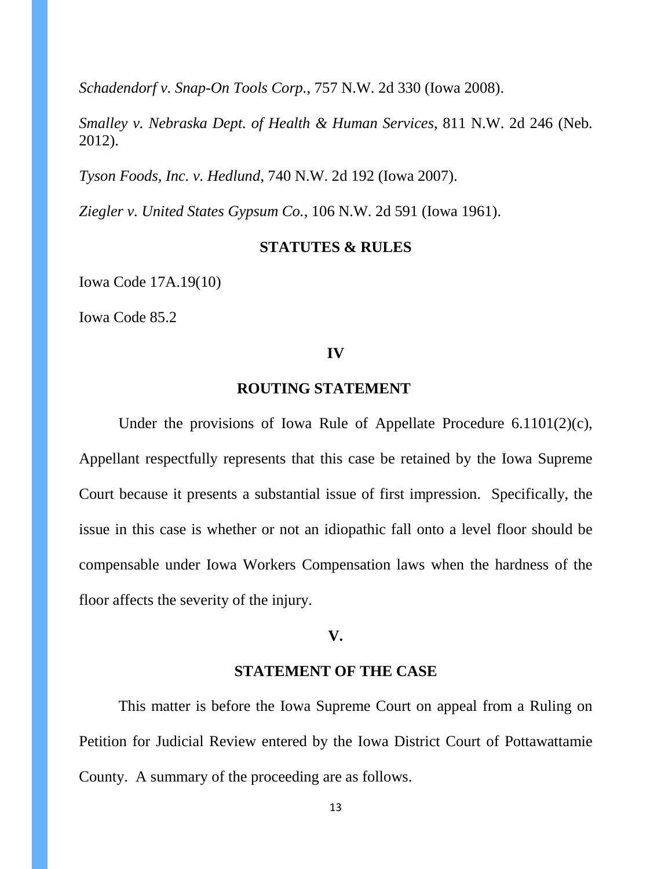*Schadendorf v. Snap-On Tools Corp.*, 757 N.W. 2d 330 (Iowa 2008).

*Smalley v. Nebraska Dept. of Health & Human Services*, 811 N.W. 2d 246 (Neb. 2012).

*Tyson Foods, Inc. v. Hedlund*, 740 N.W. 2d 192 (Iowa 2007).

*Ziegler v. United States Gypsum Co.*, 106 N.W. 2d 591 (Iowa 1961).

#### **STATUTES & RULES**

Iowa Code 17A.19(10)

Iowa Code 85.2

#### **IV**

### **ROUTING STATEMENT**

Under the provisions of Iowa Rule of Appellate Procedure 6.1101(2)(c), Appellant respectfully represents that this case be retained by the Iowa Supreme Court because it presents a substantial issue of first impression. Specifically, the issue in this case is whether or not an idiopathic fall onto a level floor should be compensable under Iowa Workers Compensation laws when the hardness of the floor affects the severity of the injury.

### **V.**

# **STATEMENT OF THE CASE**

This matter is before the Iowa Supreme Court on appeal from a Ruling on Petition for Judicial Review entered by the Iowa District Court of Pottawattamie County. A summary of the proceeding are as follows.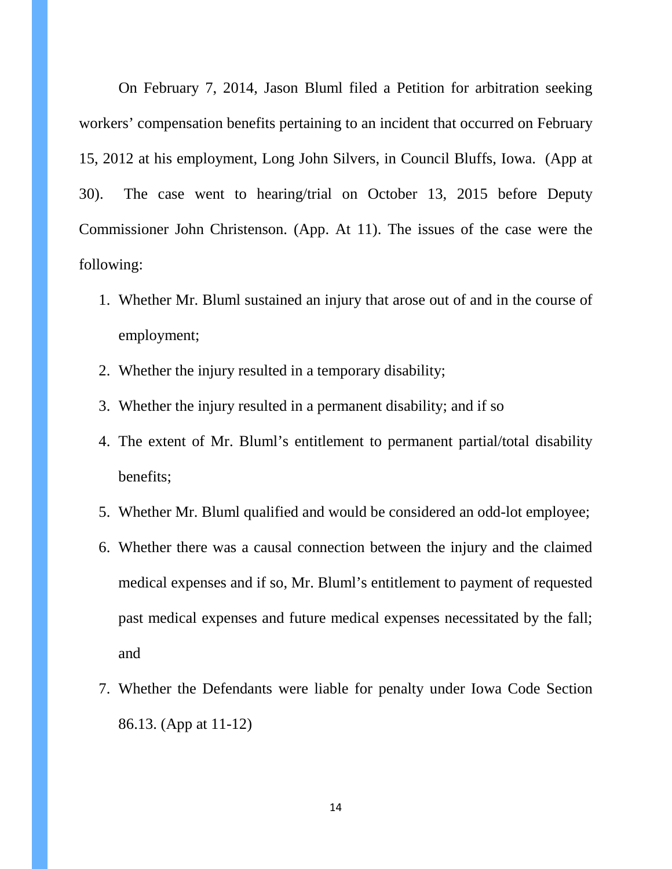On February 7, 2014, Jason Bluml filed a Petition for arbitration seeking workers' compensation benefits pertaining to an incident that occurred on February 15, 2012 at his employment, Long John Silvers, in Council Bluffs, Iowa. (App at 30). The case went to hearing/trial on October 13, 2015 before Deputy Commissioner John Christenson. (App. At 11). The issues of the case were the following:

- 1. Whether Mr. Bluml sustained an injury that arose out of and in the course of employment;
- 2. Whether the injury resulted in a temporary disability;
- 3. Whether the injury resulted in a permanent disability; and if so
- 4. The extent of Mr. Bluml's entitlement to permanent partial/total disability benefits;
- 5. Whether Mr. Bluml qualified and would be considered an odd-lot employee;
- 6. Whether there was a causal connection between the injury and the claimed medical expenses and if so, Mr. Bluml's entitlement to payment of requested past medical expenses and future medical expenses necessitated by the fall; and
- 7. Whether the Defendants were liable for penalty under Iowa Code Section 86.13. (App at 11-12)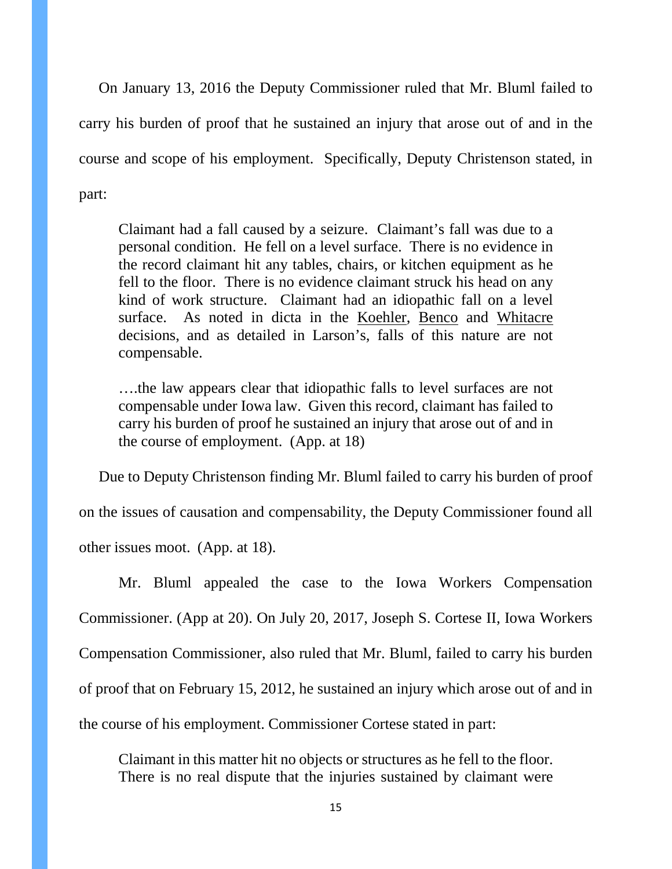On January 13, 2016 the Deputy Commissioner ruled that Mr. Bluml failed to carry his burden of proof that he sustained an injury that arose out of and in the course and scope of his employment. Specifically, Deputy Christenson stated, in part:

Claimant had a fall caused by a seizure. Claimant's fall was due to a personal condition. He fell on a level surface. There is no evidence in the record claimant hit any tables, chairs, or kitchen equipment as he fell to the floor. There is no evidence claimant struck his head on any kind of work structure. Claimant had an idiopathic fall on a level surface. As noted in dicta in the Koehler, Benco and Whitacre decisions, and as detailed in Larson's, falls of this nature are not compensable.

….the law appears clear that idiopathic falls to level surfaces are not compensable under Iowa law. Given this record, claimant has failed to carry his burden of proof he sustained an injury that arose out of and in the course of employment. (App. at 18)

Due to Deputy Christenson finding Mr. Bluml failed to carry his burden of proof

on the issues of causation and compensability, the Deputy Commissioner found all other issues moot. (App. at 18).

Mr. Bluml appealed the case to the Iowa Workers Compensation Commissioner. (App at 20). On July 20, 2017, Joseph S. Cortese II, Iowa Workers Compensation Commissioner, also ruled that Mr. Bluml, failed to carry his burden of proof that on February 15, 2012, he sustained an injury which arose out of and in the course of his employment. Commissioner Cortese stated in part:

Claimant in this matter hit no objects or structures as he fell to the floor. There is no real dispute that the injuries sustained by claimant were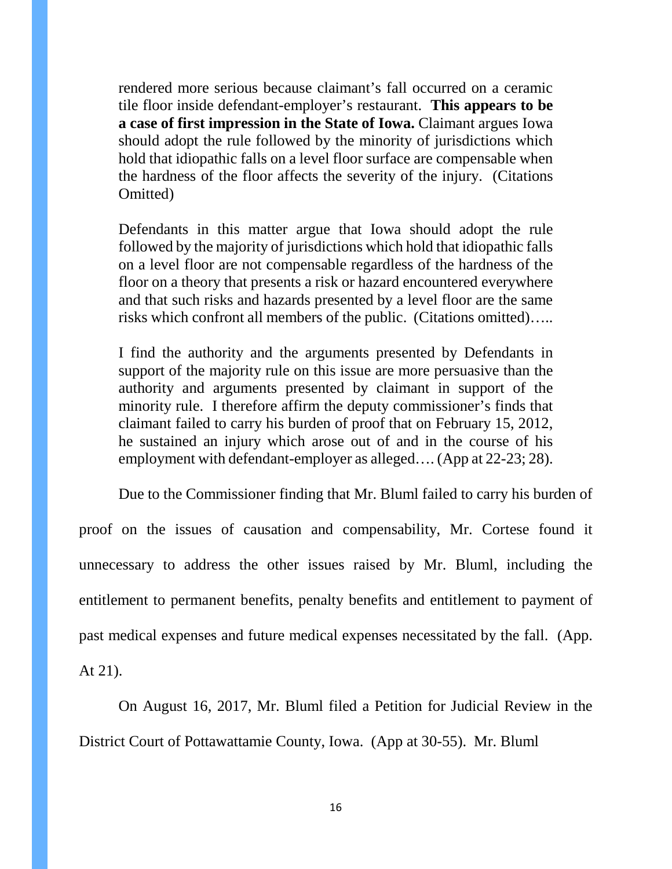rendered more serious because claimant's fall occurred on a ceramic tile floor inside defendant-employer's restaurant. **This appears to be a case of first impression in the State of Iowa.** Claimant argues Iowa should adopt the rule followed by the minority of jurisdictions which hold that idiopathic falls on a level floor surface are compensable when the hardness of the floor affects the severity of the injury. (Citations Omitted)

Defendants in this matter argue that Iowa should adopt the rule followed by the majority of jurisdictions which hold that idiopathic falls on a level floor are not compensable regardless of the hardness of the floor on a theory that presents a risk or hazard encountered everywhere and that such risks and hazards presented by a level floor are the same risks which confront all members of the public. (Citations omitted)…..

I find the authority and the arguments presented by Defendants in support of the majority rule on this issue are more persuasive than the authority and arguments presented by claimant in support of the minority rule. I therefore affirm the deputy commissioner's finds that claimant failed to carry his burden of proof that on February 15, 2012, he sustained an injury which arose out of and in the course of his employment with defendant-employer as alleged…. (App at 22-23; 28).

Due to the Commissioner finding that Mr. Bluml failed to carry his burden of

proof on the issues of causation and compensability, Mr. Cortese found it unnecessary to address the other issues raised by Mr. Bluml, including the entitlement to permanent benefits, penalty benefits and entitlement to payment of past medical expenses and future medical expenses necessitated by the fall. (App. At 21).

On August 16, 2017, Mr. Bluml filed a Petition for Judicial Review in the District Court of Pottawattamie County, Iowa. (App at 30-55). Mr. Bluml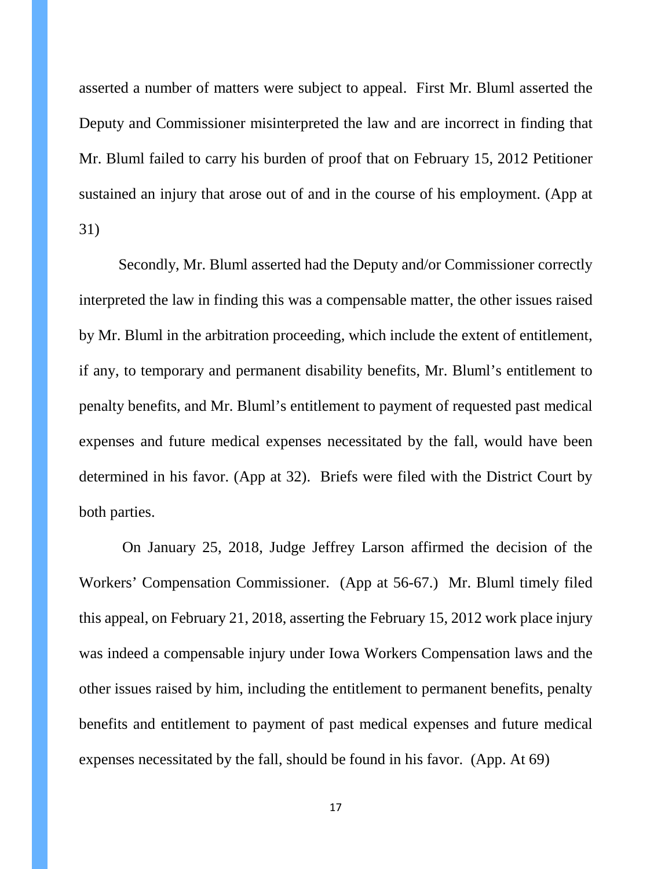asserted a number of matters were subject to appeal. First Mr. Bluml asserted the Deputy and Commissioner misinterpreted the law and are incorrect in finding that Mr. Bluml failed to carry his burden of proof that on February 15, 2012 Petitioner sustained an injury that arose out of and in the course of his employment. (App at 31)

Secondly, Mr. Bluml asserted had the Deputy and/or Commissioner correctly interpreted the law in finding this was a compensable matter, the other issues raised by Mr. Bluml in the arbitration proceeding, which include the extent of entitlement, if any, to temporary and permanent disability benefits, Mr. Bluml's entitlement to penalty benefits, and Mr. Bluml's entitlement to payment of requested past medical expenses and future medical expenses necessitated by the fall, would have been determined in his favor. (App at 32). Briefs were filed with the District Court by both parties.

On January 25, 2018, Judge Jeffrey Larson affirmed the decision of the Workers' Compensation Commissioner. (App at 56-67.) Mr. Bluml timely filed this appeal, on February 21, 2018, asserting the February 15, 2012 work place injury was indeed a compensable injury under Iowa Workers Compensation laws and the other issues raised by him, including the entitlement to permanent benefits, penalty benefits and entitlement to payment of past medical expenses and future medical expenses necessitated by the fall, should be found in his favor. (App. At 69)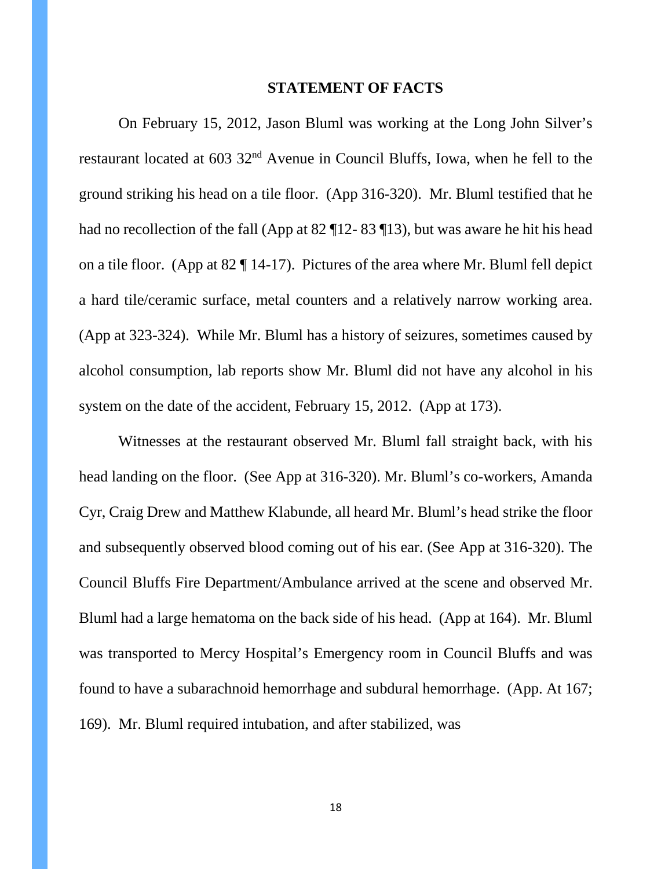#### **STATEMENT OF FACTS**

On February 15, 2012, Jason Bluml was working at the Long John Silver's restaurant located at 603 32nd Avenue in Council Bluffs, Iowa, when he fell to the ground striking his head on a tile floor. (App 316-320). Mr. Bluml testified that he had no recollection of the fall (App at 82 ¶12- 83 ¶13), but was aware he hit his head on a tile floor. (App at 82 ¶ 14-17). Pictures of the area where Mr. Bluml fell depict a hard tile/ceramic surface, metal counters and a relatively narrow working area. (App at 323-324). While Mr. Bluml has a history of seizures, sometimes caused by alcohol consumption, lab reports show Mr. Bluml did not have any alcohol in his system on the date of the accident, February 15, 2012. (App at 173).

Witnesses at the restaurant observed Mr. Bluml fall straight back, with his head landing on the floor. (See App at 316-320). Mr. Bluml's co-workers, Amanda Cyr, Craig Drew and Matthew Klabunde, all heard Mr. Bluml's head strike the floor and subsequently observed blood coming out of his ear. (See App at 316-320). The Council Bluffs Fire Department/Ambulance arrived at the scene and observed Mr. Bluml had a large hematoma on the back side of his head. (App at 164). Mr. Bluml was transported to Mercy Hospital's Emergency room in Council Bluffs and was found to have a subarachnoid hemorrhage and subdural hemorrhage. (App. At 167; 169). Mr. Bluml required intubation, and after stabilized, was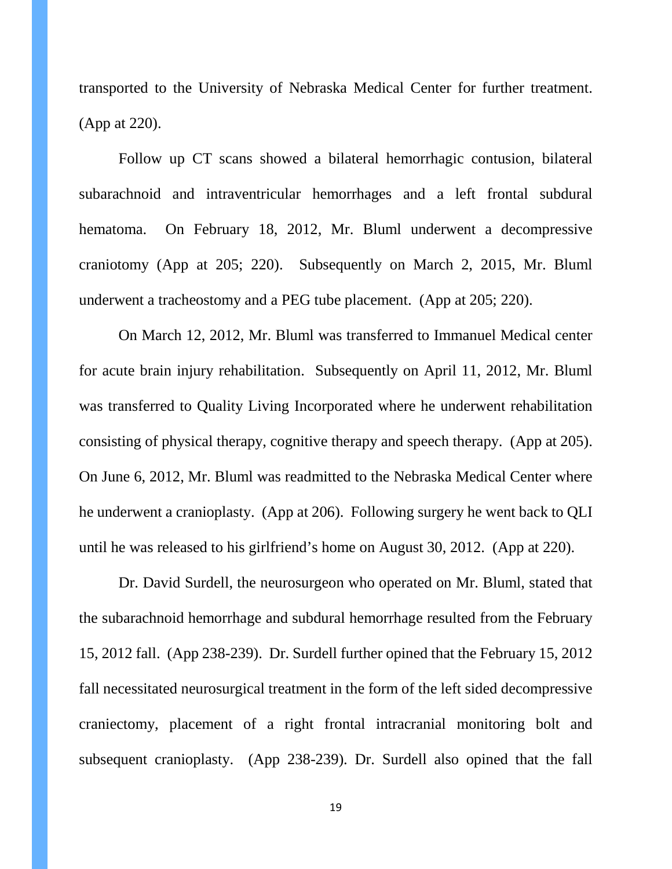transported to the University of Nebraska Medical Center for further treatment. (App at 220).

Follow up CT scans showed a bilateral hemorrhagic contusion, bilateral subarachnoid and intraventricular hemorrhages and a left frontal subdural hematoma. On February 18, 2012, Mr. Bluml underwent a decompressive craniotomy (App at 205; 220). Subsequently on March 2, 2015, Mr. Bluml underwent a tracheostomy and a PEG tube placement. (App at 205; 220).

On March 12, 2012, Mr. Bluml was transferred to Immanuel Medical center for acute brain injury rehabilitation. Subsequently on April 11, 2012, Mr. Bluml was transferred to Quality Living Incorporated where he underwent rehabilitation consisting of physical therapy, cognitive therapy and speech therapy. (App at 205). On June 6, 2012, Mr. Bluml was readmitted to the Nebraska Medical Center where he underwent a cranioplasty. (App at 206). Following surgery he went back to QLI until he was released to his girlfriend's home on August 30, 2012. (App at 220).

Dr. David Surdell, the neurosurgeon who operated on Mr. Bluml, stated that the subarachnoid hemorrhage and subdural hemorrhage resulted from the February 15, 2012 fall. (App 238-239). Dr. Surdell further opined that the February 15, 2012 fall necessitated neurosurgical treatment in the form of the left sided decompressive craniectomy, placement of a right frontal intracranial monitoring bolt and subsequent cranioplasty. (App 238-239). Dr. Surdell also opined that the fall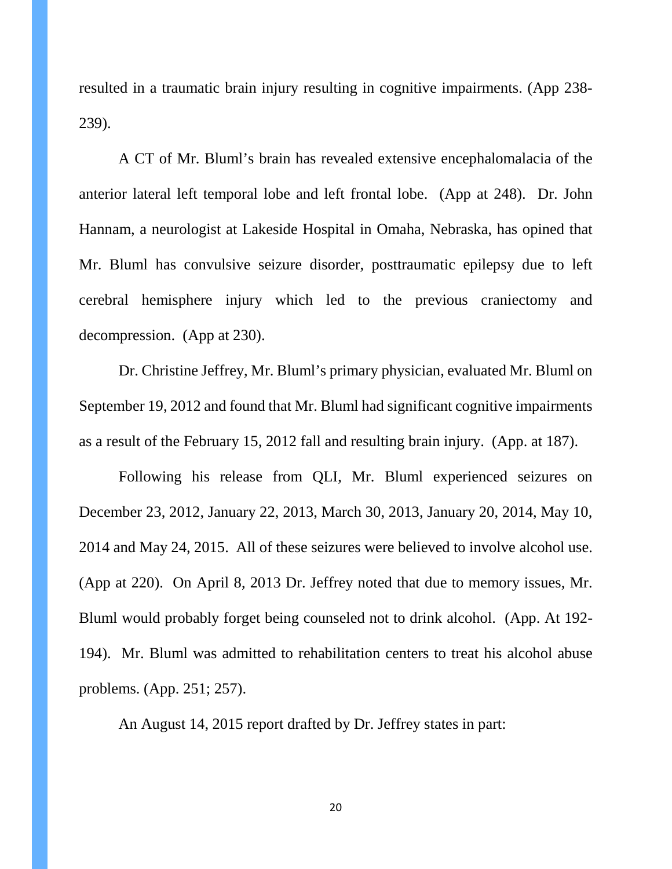resulted in a traumatic brain injury resulting in cognitive impairments. (App 238- 239).

A CT of Mr. Bluml's brain has revealed extensive encephalomalacia of the anterior lateral left temporal lobe and left frontal lobe. (App at 248). Dr. John Hannam, a neurologist at Lakeside Hospital in Omaha, Nebraska, has opined that Mr. Bluml has convulsive seizure disorder, posttraumatic epilepsy due to left cerebral hemisphere injury which led to the previous craniectomy and decompression. (App at 230).

Dr. Christine Jeffrey, Mr. Bluml's primary physician, evaluated Mr. Bluml on September 19, 2012 and found that Mr. Bluml had significant cognitive impairments as a result of the February 15, 2012 fall and resulting brain injury. (App. at 187).

Following his release from QLI, Mr. Bluml experienced seizures on December 23, 2012, January 22, 2013, March 30, 2013, January 20, 2014, May 10, 2014 and May 24, 2015. All of these seizures were believed to involve alcohol use. (App at 220). On April 8, 2013 Dr. Jeffrey noted that due to memory issues, Mr. Bluml would probably forget being counseled not to drink alcohol. (App. At 192- 194). Mr. Bluml was admitted to rehabilitation centers to treat his alcohol abuse problems. (App. 251; 257).

An August 14, 2015 report drafted by Dr. Jeffrey states in part:

20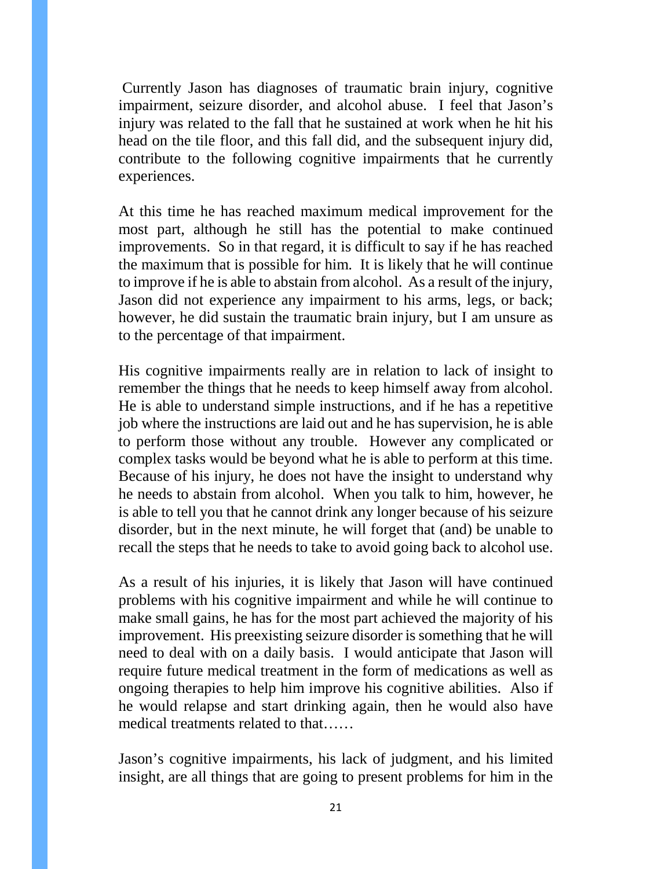Currently Jason has diagnoses of traumatic brain injury, cognitive impairment, seizure disorder, and alcohol abuse. I feel that Jason's injury was related to the fall that he sustained at work when he hit his head on the tile floor, and this fall did, and the subsequent injury did, contribute to the following cognitive impairments that he currently experiences.

At this time he has reached maximum medical improvement for the most part, although he still has the potential to make continued improvements. So in that regard, it is difficult to say if he has reached the maximum that is possible for him. It is likely that he will continue to improve if he is able to abstain from alcohol. As a result of the injury, Jason did not experience any impairment to his arms, legs, or back; however, he did sustain the traumatic brain injury, but I am unsure as to the percentage of that impairment.

His cognitive impairments really are in relation to lack of insight to remember the things that he needs to keep himself away from alcohol. He is able to understand simple instructions, and if he has a repetitive job where the instructions are laid out and he has supervision, he is able to perform those without any trouble. However any complicated or complex tasks would be beyond what he is able to perform at this time. Because of his injury, he does not have the insight to understand why he needs to abstain from alcohol. When you talk to him, however, he is able to tell you that he cannot drink any longer because of his seizure disorder, but in the next minute, he will forget that (and) be unable to recall the steps that he needs to take to avoid going back to alcohol use.

As a result of his injuries, it is likely that Jason will have continued problems with his cognitive impairment and while he will continue to make small gains, he has for the most part achieved the majority of his improvement. His preexisting seizure disorder is something that he will need to deal with on a daily basis. I would anticipate that Jason will require future medical treatment in the form of medications as well as ongoing therapies to help him improve his cognitive abilities. Also if he would relapse and start drinking again, then he would also have medical treatments related to that……

Jason's cognitive impairments, his lack of judgment, and his limited insight, are all things that are going to present problems for him in the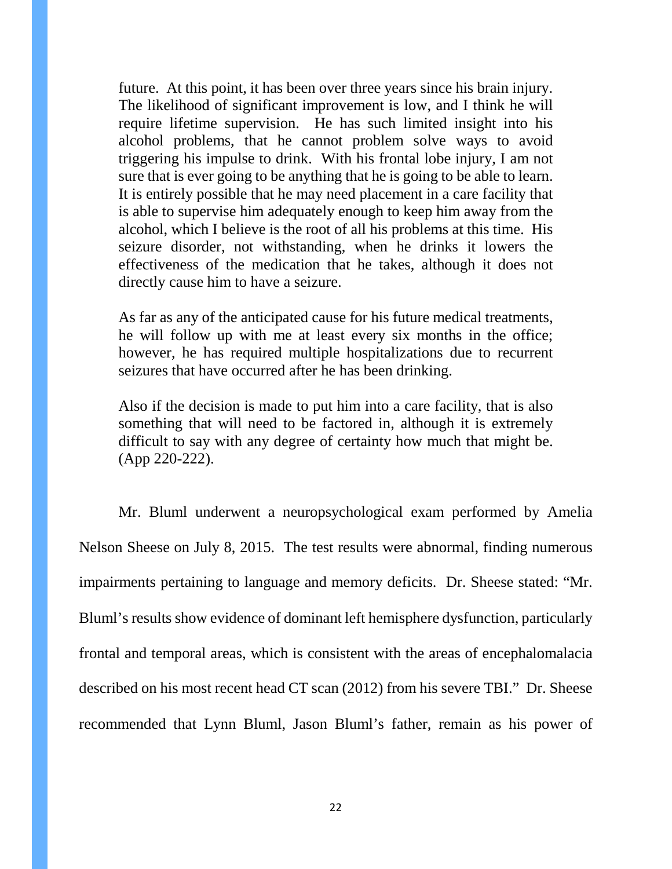future. At this point, it has been over three years since his brain injury. The likelihood of significant improvement is low, and I think he will require lifetime supervision. He has such limited insight into his alcohol problems, that he cannot problem solve ways to avoid triggering his impulse to drink. With his frontal lobe injury, I am not sure that is ever going to be anything that he is going to be able to learn. It is entirely possible that he may need placement in a care facility that is able to supervise him adequately enough to keep him away from the alcohol, which I believe is the root of all his problems at this time. His seizure disorder, not withstanding, when he drinks it lowers the effectiveness of the medication that he takes, although it does not directly cause him to have a seizure.

As far as any of the anticipated cause for his future medical treatments, he will follow up with me at least every six months in the office; however, he has required multiple hospitalizations due to recurrent seizures that have occurred after he has been drinking.

Also if the decision is made to put him into a care facility, that is also something that will need to be factored in, although it is extremely difficult to say with any degree of certainty how much that might be. (App 220-222).

Mr. Bluml underwent a neuropsychological exam performed by Amelia Nelson Sheese on July 8, 2015. The test results were abnormal, finding numerous impairments pertaining to language and memory deficits. Dr. Sheese stated: "Mr. Bluml's results show evidence of dominant left hemisphere dysfunction, particularly frontal and temporal areas, which is consistent with the areas of encephalomalacia described on his most recent head CT scan (2012) from his severe TBI." Dr. Sheese recommended that Lynn Bluml, Jason Bluml's father, remain as his power of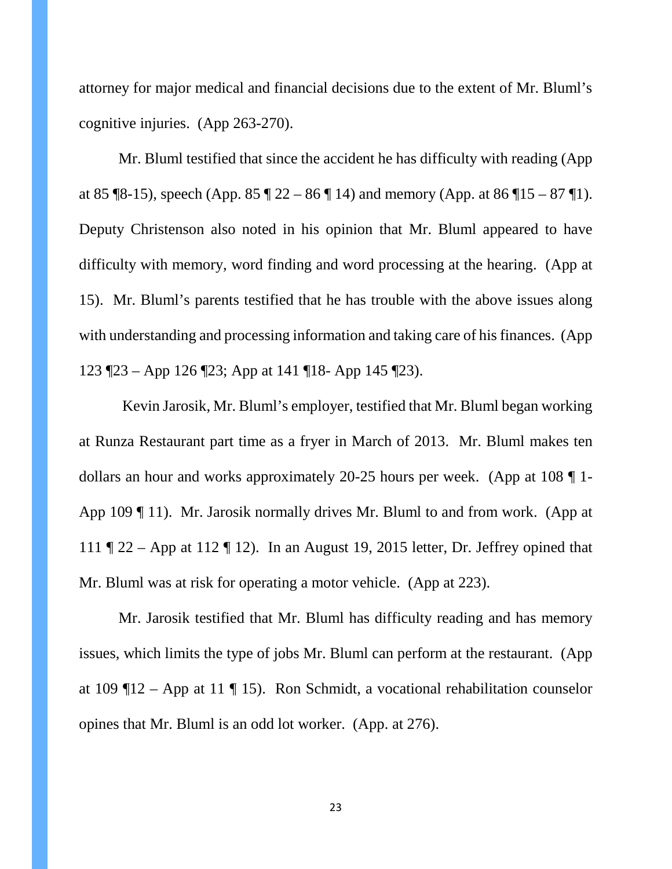attorney for major medical and financial decisions due to the extent of Mr. Bluml's cognitive injuries. (App 263-270).

Mr. Bluml testified that since the accident he has difficulty with reading (App at 85 ¶8-15), speech (App. 85 ¶ 22 – 86 ¶ 14) and memory (App. at 86 ¶ 15 – 87 ¶ 1). Deputy Christenson also noted in his opinion that Mr. Bluml appeared to have difficulty with memory, word finding and word processing at the hearing. (App at 15). Mr. Bluml's parents testified that he has trouble with the above issues along with understanding and processing information and taking care of his finances. (App 123 ¶23 – App 126 ¶23; App at 141 ¶18- App 145 ¶23).

Kevin Jarosik, Mr. Bluml's employer, testified that Mr. Bluml began working at Runza Restaurant part time as a fryer in March of 2013. Mr. Bluml makes ten dollars an hour and works approximately 20-25 hours per week. (App at 108 ¶ 1- App 109 ¶ 11). Mr. Jarosik normally drives Mr. Bluml to and from work. (App at 111 ¶ 22 – App at 112 ¶ 12). In an August 19, 2015 letter, Dr. Jeffrey opined that Mr. Bluml was at risk for operating a motor vehicle. (App at 223).

Mr. Jarosik testified that Mr. Bluml has difficulty reading and has memory issues, which limits the type of jobs Mr. Bluml can perform at the restaurant. (App at 109  $\P$ 12 – App at 11  $\P$  15). Ron Schmidt, a vocational rehabilitation counselor opines that Mr. Bluml is an odd lot worker. (App. at 276).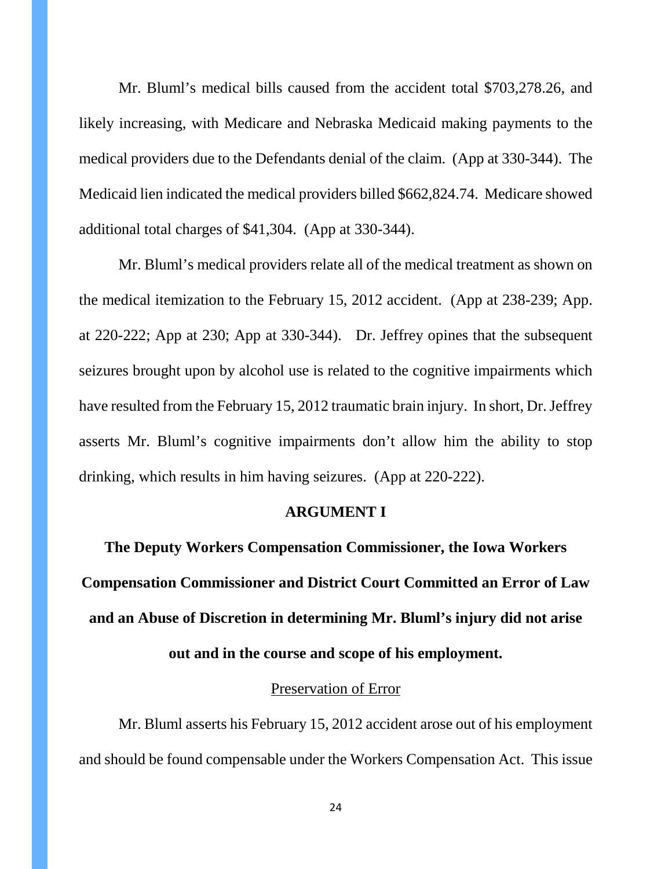Mr. Bluml's medical bills caused from the accident total \$703,278.26, and likely increasing, with Medicare and Nebraska Medicaid making payments to the medical providers due to the Defendants denial of the claim. (App at 330-344). The Medicaid lien indicated the medical providers billed \$662,824.74. Medicare showed additional total charges of \$41,304. (App at 330-344).

Mr. Bluml's medical providers relate all of the medical treatment as shown on the medical itemization to the February 15, 2012 accident. (App at 238-239; App. at 220-222; App at 230; App at 330-344). Dr. Jeffrey opines that the subsequent seizures brought upon by alcohol use is related to the cognitive impairments which have resulted from the February 15, 2012 traumatic brain injury. In short, Dr. Jeffrey asserts Mr. Bluml's cognitive impairments don't allow him the ability to stop drinking, which results in him having seizures. (App at 220-222).

### **ARGUMENT I**

**The Deputy Workers Compensation Commissioner, the Iowa Workers Compensation Commissioner and District Court Committed an Error of Law and an Abuse of Discretion in determining Mr. Bluml's injury did not arise out and in the course and scope of his employment.**

#### Preservation of Error

Mr. Bluml asserts his February 15, 2012 accident arose out of his employment and should be found compensable under the Workers Compensation Act. This issue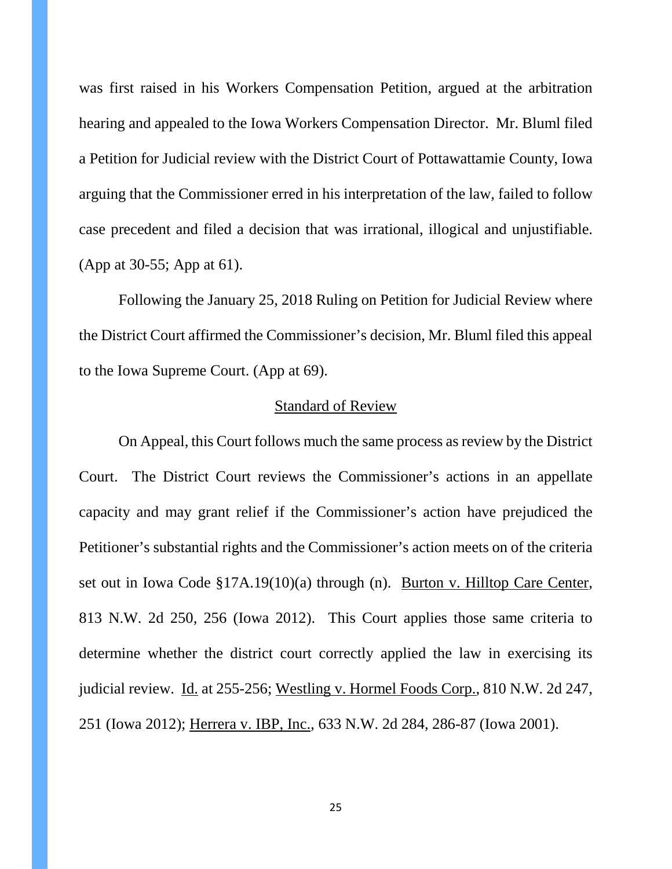was first raised in his Workers Compensation Petition, argued at the arbitration hearing and appealed to the Iowa Workers Compensation Director. Mr. Bluml filed a Petition for Judicial review with the District Court of Pottawattamie County, Iowa arguing that the Commissioner erred in his interpretation of the law, failed to follow case precedent and filed a decision that was irrational, illogical and unjustifiable. (App at 30-55; App at 61).

Following the January 25, 2018 Ruling on Petition for Judicial Review where the District Court affirmed the Commissioner's decision, Mr. Bluml filed this appeal to the Iowa Supreme Court. (App at 69).

#### Standard of Review

On Appeal, this Court follows much the same process as review by the District Court. The District Court reviews the Commissioner's actions in an appellate capacity and may grant relief if the Commissioner's action have prejudiced the Petitioner's substantial rights and the Commissioner's action meets on of the criteria set out in Iowa Code §17A.19(10)(a) through (n). Burton v. Hilltop Care Center, 813 N.W. 2d 250, 256 (Iowa 2012). This Court applies those same criteria to determine whether the district court correctly applied the law in exercising its judicial review. Id. at 255-256; Westling v. Hormel Foods Corp., 810 N.W. 2d 247, 251 (Iowa 2012); Herrera v. IBP, Inc., 633 N.W. 2d 284, 286-87 (Iowa 2001).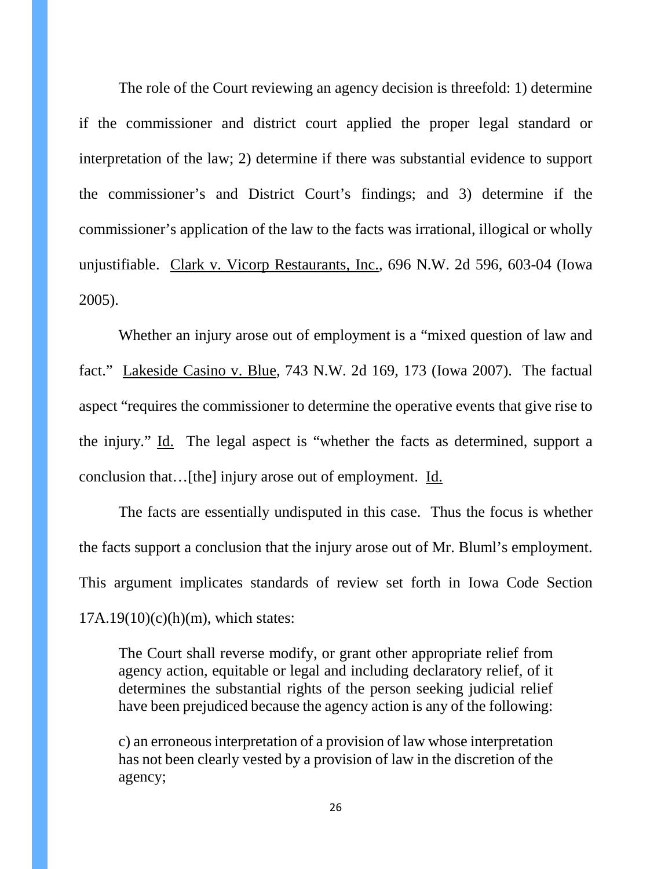The role of the Court reviewing an agency decision is threefold: 1) determine if the commissioner and district court applied the proper legal standard or interpretation of the law; 2) determine if there was substantial evidence to support the commissioner's and District Court's findings; and 3) determine if the commissioner's application of the law to the facts was irrational, illogical or wholly unjustifiable. Clark v. Vicorp Restaurants, Inc., 696 N.W. 2d 596, 603-04 (Iowa 2005).

Whether an injury arose out of employment is a "mixed question of law and fact." Lakeside Casino v. Blue, 743 N.W. 2d 169, 173 (Iowa 2007). The factual aspect "requires the commissioner to determine the operative events that give rise to the injury." Id. The legal aspect is "whether the facts as determined, support a conclusion that…[the] injury arose out of employment. Id.

The facts are essentially undisputed in this case. Thus the focus is whether the facts support a conclusion that the injury arose out of Mr. Bluml's employment. This argument implicates standards of review set forth in Iowa Code Section  $17A.19(10)(c)(h)(m)$ , which states:

The Court shall reverse modify, or grant other appropriate relief from agency action, equitable or legal and including declaratory relief, of it determines the substantial rights of the person seeking judicial relief have been prejudiced because the agency action is any of the following:

c) an erroneous interpretation of a provision of law whose interpretation has not been clearly vested by a provision of law in the discretion of the agency;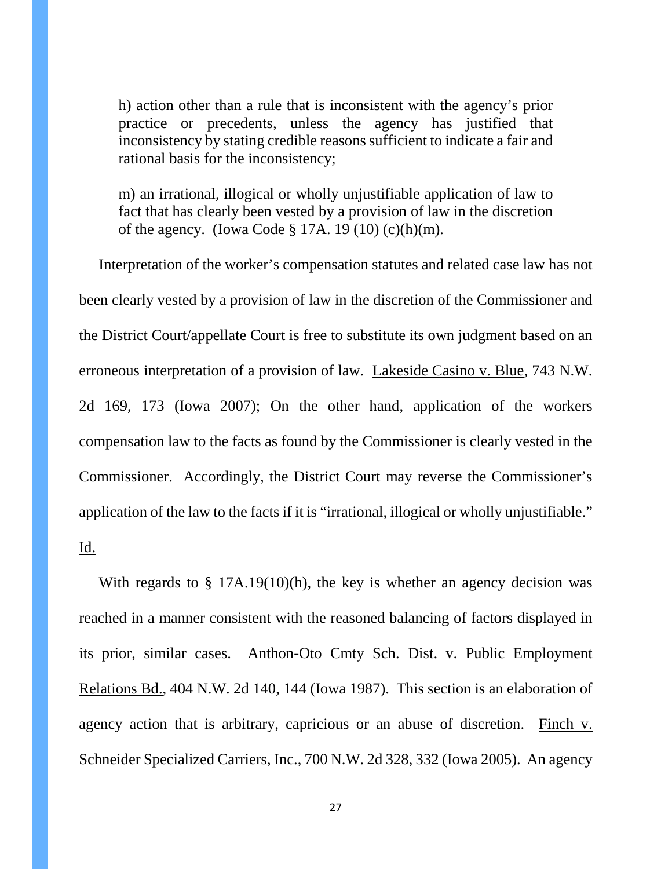h) action other than a rule that is inconsistent with the agency's prior practice or precedents, unless the agency has justified that inconsistency by stating credible reasons sufficient to indicate a fair and rational basis for the inconsistency;

m) an irrational, illogical or wholly unjustifiable application of law to fact that has clearly been vested by a provision of law in the discretion of the agency. (Iowa Code  $\S 17A$ . 19 (10) (c)(h)(m).

Interpretation of the worker's compensation statutes and related case law has not been clearly vested by a provision of law in the discretion of the Commissioner and the District Court/appellate Court is free to substitute its own judgment based on an erroneous interpretation of a provision of law. Lakeside Casino v. Blue, 743 N.W. 2d 169, 173 (Iowa 2007); On the other hand, application of the workers compensation law to the facts as found by the Commissioner is clearly vested in the Commissioner. Accordingly, the District Court may reverse the Commissioner's application of the law to the facts if it is "irrational, illogical or wholly unjustifiable." Id.

With regards to  $\S$  17A.19(10)(h), the key is whether an agency decision was reached in a manner consistent with the reasoned balancing of factors displayed in its prior, similar cases. Anthon-Oto Cmty Sch. Dist. v. Public Employment Relations Bd., 404 N.W. 2d 140, 144 (Iowa 1987). This section is an elaboration of agency action that is arbitrary, capricious or an abuse of discretion. Finch v. Schneider Specialized Carriers, Inc., 700 N.W. 2d 328, 332 (Iowa 2005). An agency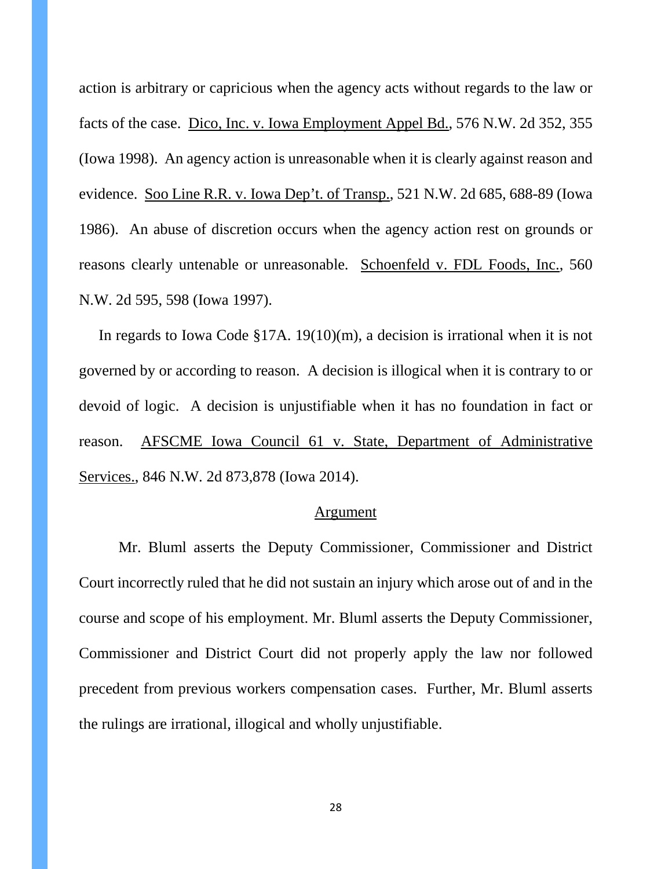action is arbitrary or capricious when the agency acts without regards to the law or facts of the case. Dico, Inc. v. Iowa Employment Appel Bd., 576 N.W. 2d 352, 355 (Iowa 1998). An agency action is unreasonable when it is clearly against reason and evidence. Soo Line R.R. v. Iowa Dep't. of Transp., 521 N.W. 2d 685, 688-89 (Iowa 1986). An abuse of discretion occurs when the agency action rest on grounds or reasons clearly untenable or unreasonable. Schoenfeld v. FDL Foods, Inc., 560 N.W. 2d 595, 598 (Iowa 1997).

In regards to Iowa Code §17A. 19(10)(m), a decision is irrational when it is not governed by or according to reason. A decision is illogical when it is contrary to or devoid of logic. A decision is unjustifiable when it has no foundation in fact or reason. AFSCME Iowa Council 61 v. State, Department of Administrative Services., 846 N.W. 2d 873,878 (Iowa 2014).

#### Argument

Mr. Bluml asserts the Deputy Commissioner, Commissioner and District Court incorrectly ruled that he did not sustain an injury which arose out of and in the course and scope of his employment. Mr. Bluml asserts the Deputy Commissioner, Commissioner and District Court did not properly apply the law nor followed precedent from previous workers compensation cases. Further, Mr. Bluml asserts the rulings are irrational, illogical and wholly unjustifiable.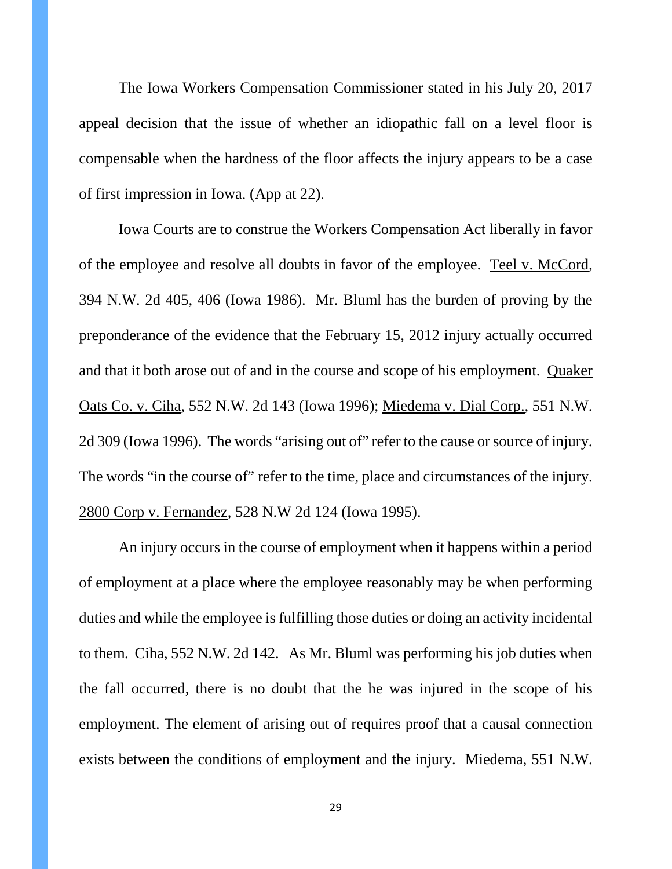The Iowa Workers Compensation Commissioner stated in his July 20, 2017 appeal decision that the issue of whether an idiopathic fall on a level floor is compensable when the hardness of the floor affects the injury appears to be a case of first impression in Iowa. (App at 22).

Iowa Courts are to construe the Workers Compensation Act liberally in favor of the employee and resolve all doubts in favor of the employee. Teel v. McCord, 394 N.W. 2d 405, 406 (Iowa 1986). Mr. Bluml has the burden of proving by the preponderance of the evidence that the February 15, 2012 injury actually occurred and that it both arose out of and in the course and scope of his employment. Quaker Oats Co. v. Ciha, 552 N.W. 2d 143 (Iowa 1996); Miedema v. Dial Corp., 551 N.W. 2d 309 (Iowa 1996). The words "arising out of" refer to the cause or source of injury. The words "in the course of" refer to the time, place and circumstances of the injury. 2800 Corp v. Fernandez, 528 N.W 2d 124 (Iowa 1995).

An injury occurs in the course of employment when it happens within a period of employment at a place where the employee reasonably may be when performing duties and while the employee is fulfilling those duties or doing an activity incidental to them. Ciha, 552 N.W. 2d 142. As Mr. Bluml was performing his job duties when the fall occurred, there is no doubt that the he was injured in the scope of his employment. The element of arising out of requires proof that a causal connection exists between the conditions of employment and the injury. Miedema, 551 N.W.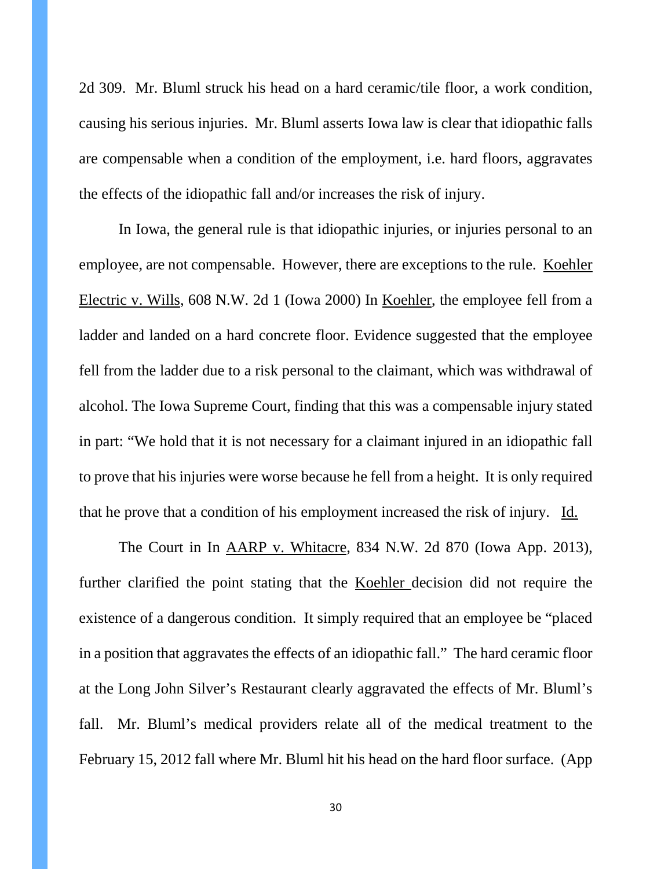2d 309. Mr. Bluml struck his head on a hard ceramic/tile floor, a work condition, causing his serious injuries. Mr. Bluml asserts Iowa law is clear that idiopathic falls are compensable when a condition of the employment, i.e. hard floors, aggravates the effects of the idiopathic fall and/or increases the risk of injury.

In Iowa, the general rule is that idiopathic injuries, or injuries personal to an employee, are not compensable. However, there are exceptions to the rule. Koehler Electric v. Wills, 608 N.W. 2d 1 (Iowa 2000) In Koehler, the employee fell from a ladder and landed on a hard concrete floor. Evidence suggested that the employee fell from the ladder due to a risk personal to the claimant, which was withdrawal of alcohol. The Iowa Supreme Court, finding that this was a compensable injury stated in part: "We hold that it is not necessary for a claimant injured in an idiopathic fall to prove that his injuries were worse because he fell from a height. It is only required that he prove that a condition of his employment increased the risk of injury. Id.

The Court in In AARP v. Whitacre, 834 N.W. 2d 870 (Iowa App. 2013), further clarified the point stating that the Koehler decision did not require the existence of a dangerous condition. It simply required that an employee be "placed in a position that aggravates the effects of an idiopathic fall." The hard ceramic floor at the Long John Silver's Restaurant clearly aggravated the effects of Mr. Bluml's fall. Mr. Bluml's medical providers relate all of the medical treatment to the February 15, 2012 fall where Mr. Bluml hit his head on the hard floor surface. (App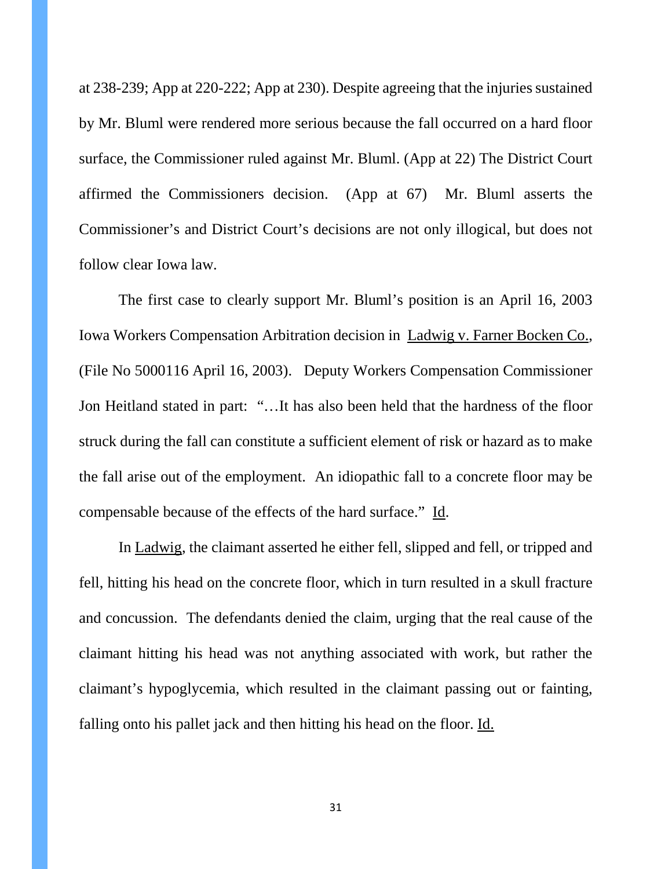at 238-239; App at 220-222; App at 230). Despite agreeing that the injuries sustained by Mr. Bluml were rendered more serious because the fall occurred on a hard floor surface, the Commissioner ruled against Mr. Bluml. (App at 22) The District Court affirmed the Commissioners decision. (App at 67) Mr. Bluml asserts the Commissioner's and District Court's decisions are not only illogical, but does not follow clear Iowa law.

The first case to clearly support Mr. Bluml's position is an April 16, 2003 Iowa Workers Compensation Arbitration decision in Ladwig v. Farner Bocken Co., (File No 5000116 April 16, 2003). Deputy Workers Compensation Commissioner Jon Heitland stated in part: "…It has also been held that the hardness of the floor struck during the fall can constitute a sufficient element of risk or hazard as to make the fall arise out of the employment. An idiopathic fall to a concrete floor may be compensable because of the effects of the hard surface." Id.

In Ladwig, the claimant asserted he either fell, slipped and fell, or tripped and fell, hitting his head on the concrete floor, which in turn resulted in a skull fracture and concussion. The defendants denied the claim, urging that the real cause of the claimant hitting his head was not anything associated with work, but rather the claimant's hypoglycemia, which resulted in the claimant passing out or fainting, falling onto his pallet jack and then hitting his head on the floor. Id.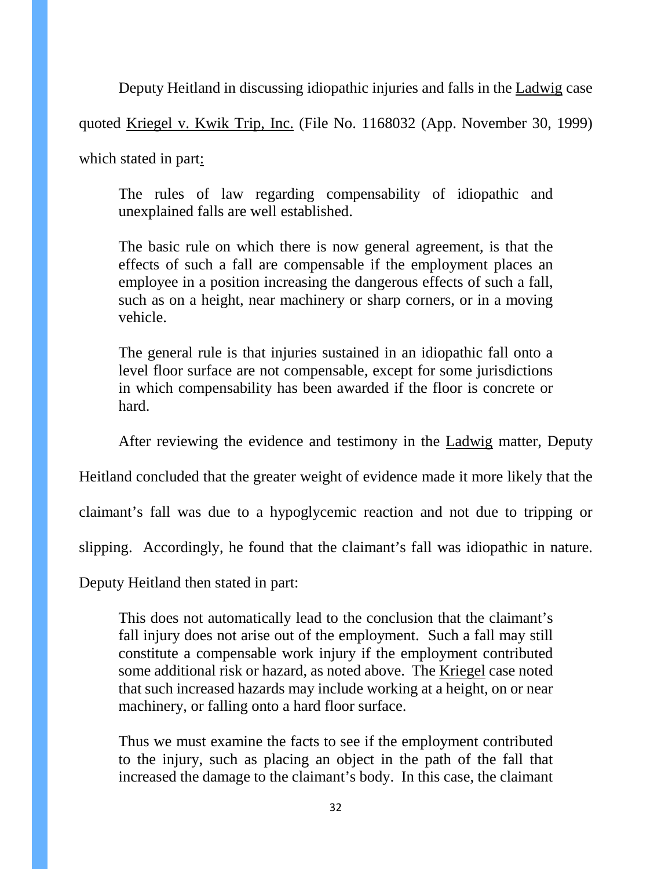Deputy Heitland in discussing idiopathic injuries and falls in the Ladwig case

quoted Kriegel v. Kwik Trip, Inc. (File No. 1168032 (App. November 30, 1999)

which stated in part:

The rules of law regarding compensability of idiopathic and unexplained falls are well established.

The basic rule on which there is now general agreement, is that the effects of such a fall are compensable if the employment places an employee in a position increasing the dangerous effects of such a fall, such as on a height, near machinery or sharp corners, or in a moving vehicle.

The general rule is that injuries sustained in an idiopathic fall onto a level floor surface are not compensable, except for some jurisdictions in which compensability has been awarded if the floor is concrete or hard.

After reviewing the evidence and testimony in the Ladwig matter, Deputy

Heitland concluded that the greater weight of evidence made it more likely that the

claimant's fall was due to a hypoglycemic reaction and not due to tripping or

slipping. Accordingly, he found that the claimant's fall was idiopathic in nature.

Deputy Heitland then stated in part:

This does not automatically lead to the conclusion that the claimant's fall injury does not arise out of the employment. Such a fall may still constitute a compensable work injury if the employment contributed some additional risk or hazard, as noted above. The Kriegel case noted that such increased hazards may include working at a height, on or near machinery, or falling onto a hard floor surface.

Thus we must examine the facts to see if the employment contributed to the injury, such as placing an object in the path of the fall that increased the damage to the claimant's body. In this case, the claimant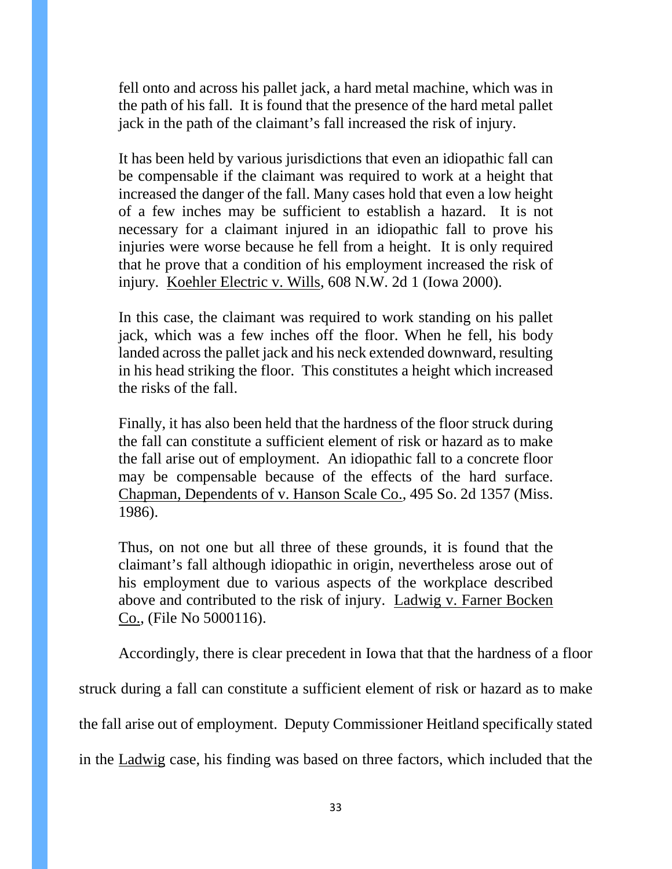fell onto and across his pallet jack, a hard metal machine, which was in the path of his fall. It is found that the presence of the hard metal pallet jack in the path of the claimant's fall increased the risk of injury.

It has been held by various jurisdictions that even an idiopathic fall can be compensable if the claimant was required to work at a height that increased the danger of the fall. Many cases hold that even a low height of a few inches may be sufficient to establish a hazard. It is not necessary for a claimant injured in an idiopathic fall to prove his injuries were worse because he fell from a height. It is only required that he prove that a condition of his employment increased the risk of injury. Koehler Electric v. Wills, 608 N.W. 2d 1 (Iowa 2000).

In this case, the claimant was required to work standing on his pallet jack, which was a few inches off the floor. When he fell, his body landed across the pallet jack and his neck extended downward, resulting in his head striking the floor. This constitutes a height which increased the risks of the fall.

Finally, it has also been held that the hardness of the floor struck during the fall can constitute a sufficient element of risk or hazard as to make the fall arise out of employment. An idiopathic fall to a concrete floor may be compensable because of the effects of the hard surface. Chapman, Dependents of v. Hanson Scale Co., 495 So. 2d 1357 (Miss. 1986).

Thus, on not one but all three of these grounds, it is found that the claimant's fall although idiopathic in origin, nevertheless arose out of his employment due to various aspects of the workplace described above and contributed to the risk of injury. Ladwig v. Farner Bocken Co., (File No 5000116).

Accordingly, there is clear precedent in Iowa that that the hardness of a floor

struck during a fall can constitute a sufficient element of risk or hazard as to make

the fall arise out of employment. Deputy Commissioner Heitland specifically stated

in the Ladwig case, his finding was based on three factors, which included that the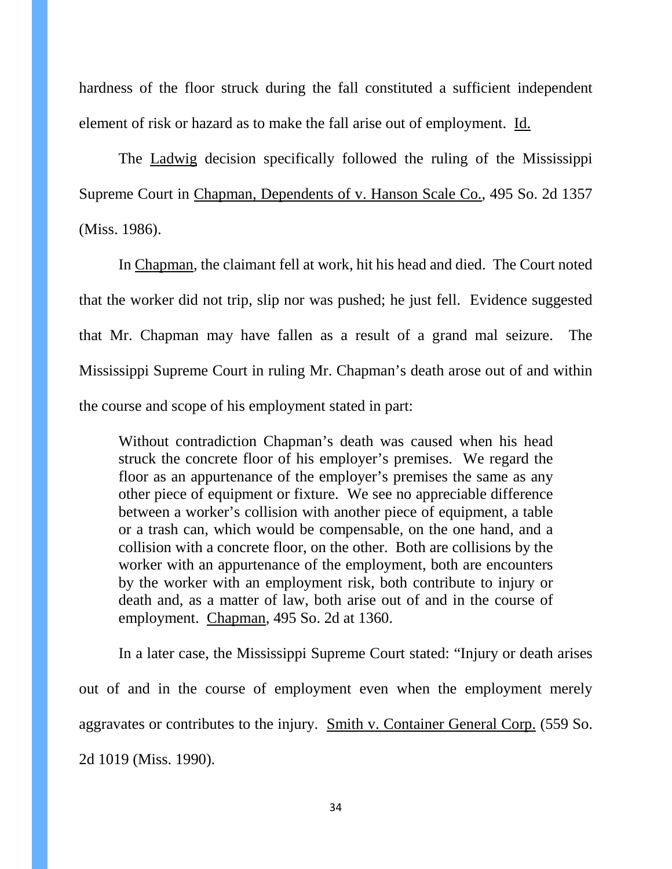hardness of the floor struck during the fall constituted a sufficient independent element of risk or hazard as to make the fall arise out of employment. Id.

The Ladwig decision specifically followed the ruling of the Mississippi Supreme Court in Chapman, Dependents of v. Hanson Scale Co., 495 So. 2d 1357 (Miss. 1986).

In Chapman, the claimant fell at work, hit his head and died. The Court noted that the worker did not trip, slip nor was pushed; he just fell. Evidence suggested that Mr. Chapman may have fallen as a result of a grand mal seizure. The Mississippi Supreme Court in ruling Mr. Chapman's death arose out of and within the course and scope of his employment stated in part:

Without contradiction Chapman's death was caused when his head struck the concrete floor of his employer's premises. We regard the floor as an appurtenance of the employer's premises the same as any other piece of equipment or fixture. We see no appreciable difference between a worker's collision with another piece of equipment, a table or a trash can, which would be compensable, on the one hand, and a collision with a concrete floor, on the other. Both are collisions by the worker with an appurtenance of the employment, both are encounters by the worker with an employment risk, both contribute to injury or death and, as a matter of law, both arise out of and in the course of employment. Chapman, 495 So. 2d at 1360.

In a later case, the Mississippi Supreme Court stated: "Injury or death arises out of and in the course of employment even when the employment merely aggravates or contributes to the injury. Smith v. Container General Corp. (559 So. 2d 1019 (Miss. 1990).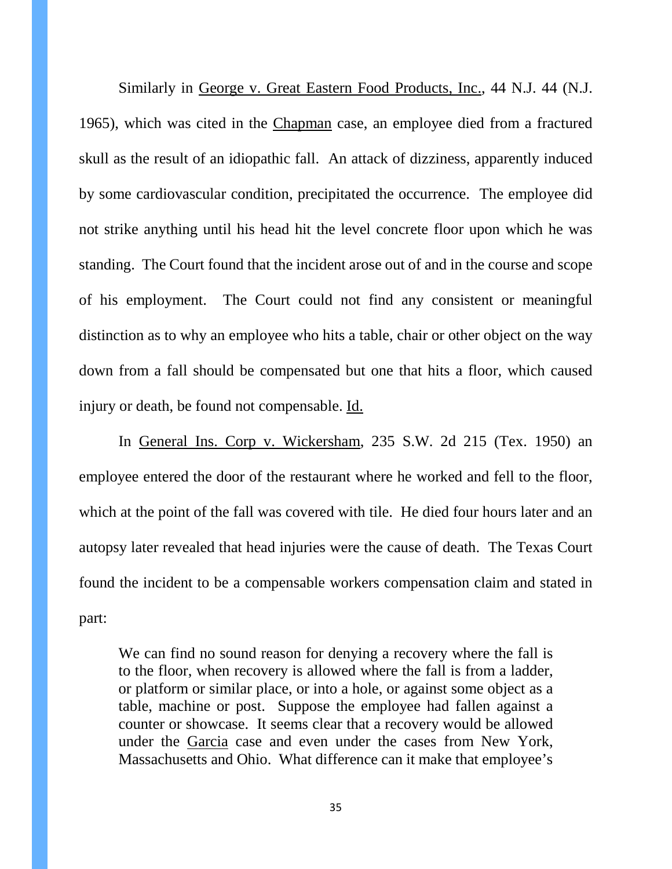Similarly in George v. Great Eastern Food Products, Inc., 44 N.J. 44 (N.J. 1965), which was cited in the Chapman case, an employee died from a fractured skull as the result of an idiopathic fall. An attack of dizziness, apparently induced by some cardiovascular condition, precipitated the occurrence. The employee did not strike anything until his head hit the level concrete floor upon which he was standing. The Court found that the incident arose out of and in the course and scope of his employment. The Court could not find any consistent or meaningful distinction as to why an employee who hits a table, chair or other object on the way down from a fall should be compensated but one that hits a floor, which caused injury or death, be found not compensable. Id.

In General Ins. Corp v. Wickersham, 235 S.W. 2d 215 (Tex. 1950) an employee entered the door of the restaurant where he worked and fell to the floor, which at the point of the fall was covered with tile. He died four hours later and an autopsy later revealed that head injuries were the cause of death. The Texas Court found the incident to be a compensable workers compensation claim and stated in part:

We can find no sound reason for denying a recovery where the fall is to the floor, when recovery is allowed where the fall is from a ladder, or platform or similar place, or into a hole, or against some object as a table, machine or post. Suppose the employee had fallen against a counter or showcase. It seems clear that a recovery would be allowed under the Garcia case and even under the cases from New York, Massachusetts and Ohio. What difference can it make that employee's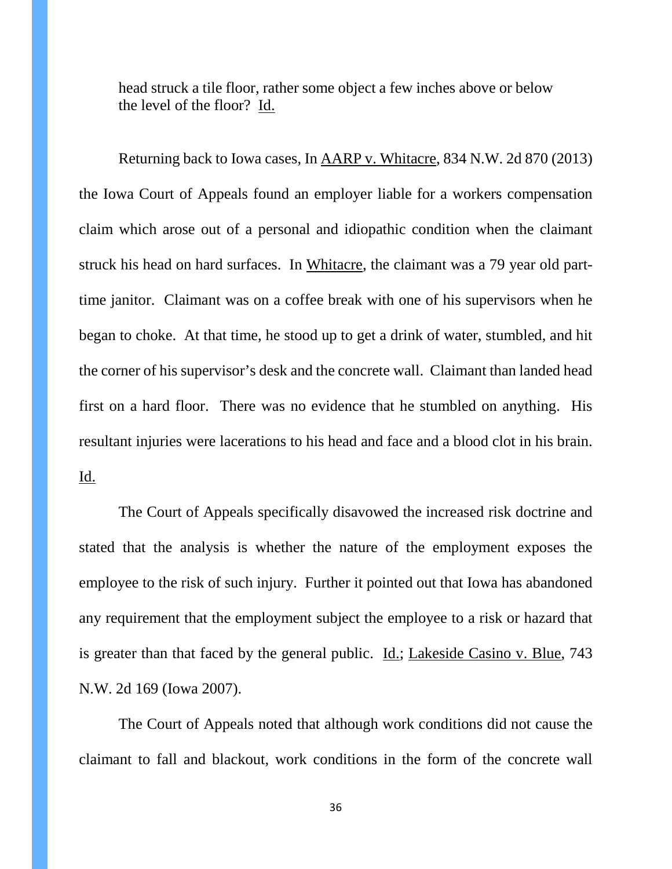head struck a tile floor, rather some object a few inches above or below the level of the floor? Id.

Returning back to Iowa cases, In AARP v. Whitacre, 834 N.W. 2d 870 (2013) the Iowa Court of Appeals found an employer liable for a workers compensation claim which arose out of a personal and idiopathic condition when the claimant struck his head on hard surfaces. In Whitacre, the claimant was a 79 year old parttime janitor. Claimant was on a coffee break with one of his supervisors when he began to choke. At that time, he stood up to get a drink of water, stumbled, and hit the corner of his supervisor's desk and the concrete wall. Claimant than landed head first on a hard floor. There was no evidence that he stumbled on anything. His resultant injuries were lacerations to his head and face and a blood clot in his brain. Id.

The Court of Appeals specifically disavowed the increased risk doctrine and stated that the analysis is whether the nature of the employment exposes the employee to the risk of such injury. Further it pointed out that Iowa has abandoned any requirement that the employment subject the employee to a risk or hazard that is greater than that faced by the general public. Id.; Lakeside Casino v. Blue, 743 N.W. 2d 169 (Iowa 2007).

The Court of Appeals noted that although work conditions did not cause the claimant to fall and blackout, work conditions in the form of the concrete wall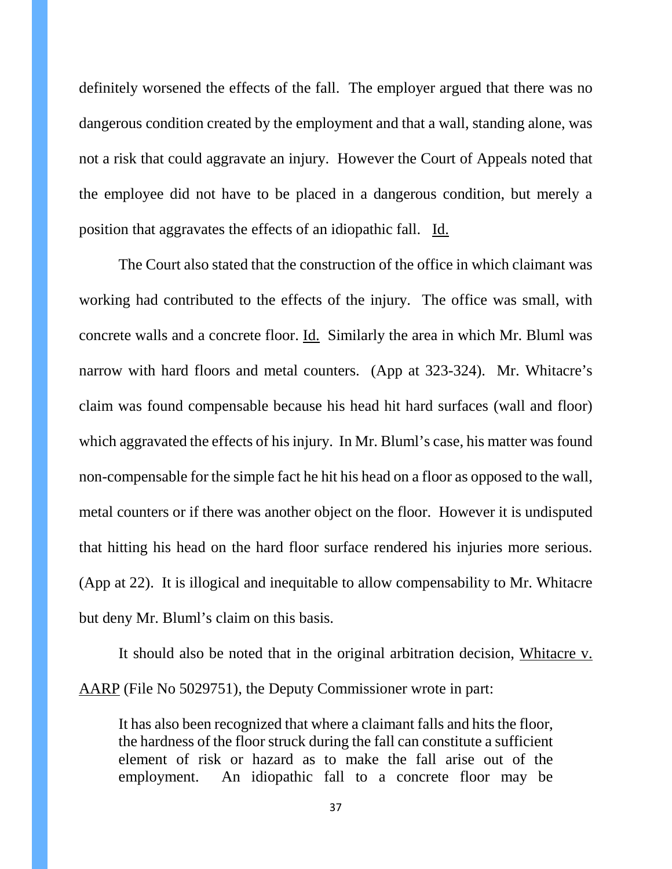definitely worsened the effects of the fall. The employer argued that there was no dangerous condition created by the employment and that a wall, standing alone, was not a risk that could aggravate an injury. However the Court of Appeals noted that the employee did not have to be placed in a dangerous condition, but merely a position that aggravates the effects of an idiopathic fall. Id.

The Court also stated that the construction of the office in which claimant was working had contributed to the effects of the injury. The office was small, with concrete walls and a concrete floor. Id. Similarly the area in which Mr. Bluml was narrow with hard floors and metal counters. (App at 323-324). Mr. Whitacre's claim was found compensable because his head hit hard surfaces (wall and floor) which aggravated the effects of his injury. In Mr. Bluml's case, his matter was found non-compensable for the simple fact he hit his head on a floor as opposed to the wall, metal counters or if there was another object on the floor. However it is undisputed that hitting his head on the hard floor surface rendered his injuries more serious. (App at 22). It is illogical and inequitable to allow compensability to Mr. Whitacre but deny Mr. Bluml's claim on this basis.

It should also be noted that in the original arbitration decision, Whitacre v. AARP (File No 5029751), the Deputy Commissioner wrote in part:

It has also been recognized that where a claimant falls and hits the floor, the hardness of the floor struck during the fall can constitute a sufficient element of risk or hazard as to make the fall arise out of the employment. An idiopathic fall to a concrete floor may be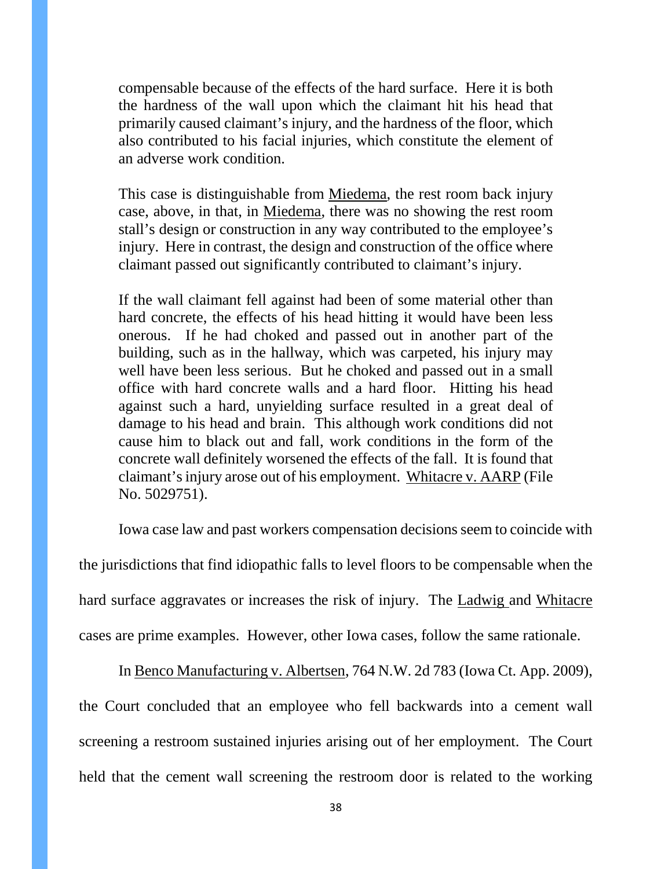compensable because of the effects of the hard surface. Here it is both the hardness of the wall upon which the claimant hit his head that primarily caused claimant's injury, and the hardness of the floor, which also contributed to his facial injuries, which constitute the element of an adverse work condition.

This case is distinguishable from Miedema, the rest room back injury case, above, in that, in Miedema, there was no showing the rest room stall's design or construction in any way contributed to the employee's injury. Here in contrast, the design and construction of the office where claimant passed out significantly contributed to claimant's injury.

If the wall claimant fell against had been of some material other than hard concrete, the effects of his head hitting it would have been less onerous. If he had choked and passed out in another part of the building, such as in the hallway, which was carpeted, his injury may well have been less serious. But he choked and passed out in a small office with hard concrete walls and a hard floor. Hitting his head against such a hard, unyielding surface resulted in a great deal of damage to his head and brain. This although work conditions did not cause him to black out and fall, work conditions in the form of the concrete wall definitely worsened the effects of the fall. It is found that claimant's injury arose out of his employment. Whitacre v. AARP (File No. 5029751).

Iowa case law and past workers compensation decisions seem to coincide with

the jurisdictions that find idiopathic falls to level floors to be compensable when the

hard surface aggravates or increases the risk of injury. The Ladwig and Whitacre

cases are prime examples. However, other Iowa cases, follow the same rationale.

In Benco Manufacturing v. Albertsen, 764 N.W. 2d 783 (Iowa Ct. App. 2009), the Court concluded that an employee who fell backwards into a cement wall screening a restroom sustained injuries arising out of her employment. The Court held that the cement wall screening the restroom door is related to the working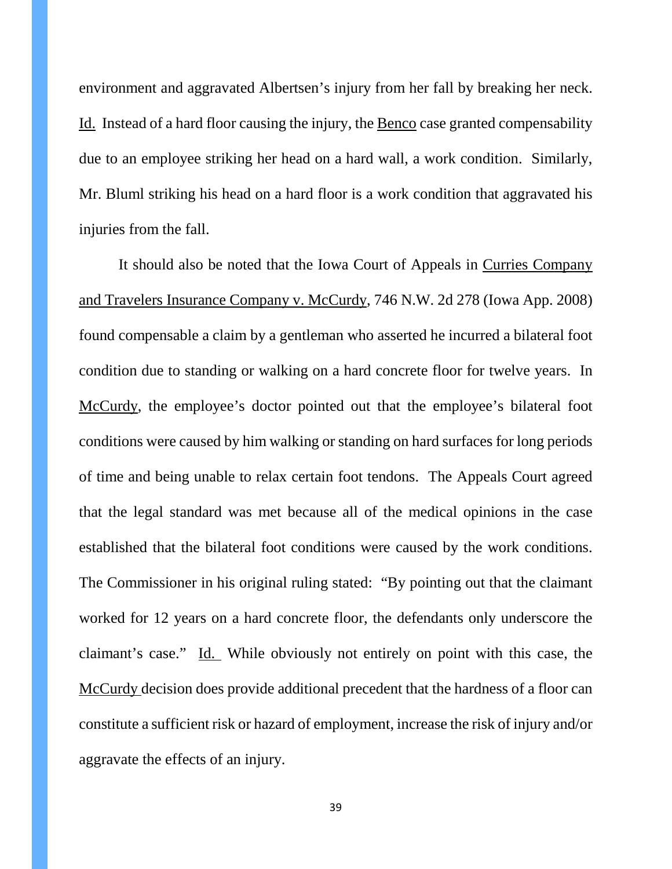environment and aggravated Albertsen's injury from her fall by breaking her neck. Id. Instead of a hard floor causing the injury, the Benco case granted compensability due to an employee striking her head on a hard wall, a work condition. Similarly, Mr. Bluml striking his head on a hard floor is a work condition that aggravated his injuries from the fall.

It should also be noted that the Iowa Court of Appeals in Curries Company and Travelers Insurance Company v. McCurdy, 746 N.W. 2d 278 (Iowa App. 2008) found compensable a claim by a gentleman who asserted he incurred a bilateral foot condition due to standing or walking on a hard concrete floor for twelve years. In McCurdy, the employee's doctor pointed out that the employee's bilateral foot conditions were caused by him walking or standing on hard surfaces for long periods of time and being unable to relax certain foot tendons. The Appeals Court agreed that the legal standard was met because all of the medical opinions in the case established that the bilateral foot conditions were caused by the work conditions. The Commissioner in his original ruling stated: "By pointing out that the claimant worked for 12 years on a hard concrete floor, the defendants only underscore the claimant's case." Id. While obviously not entirely on point with this case, the McCurdy decision does provide additional precedent that the hardness of a floor can constitute a sufficient risk or hazard of employment, increase the risk of injury and/or aggravate the effects of an injury.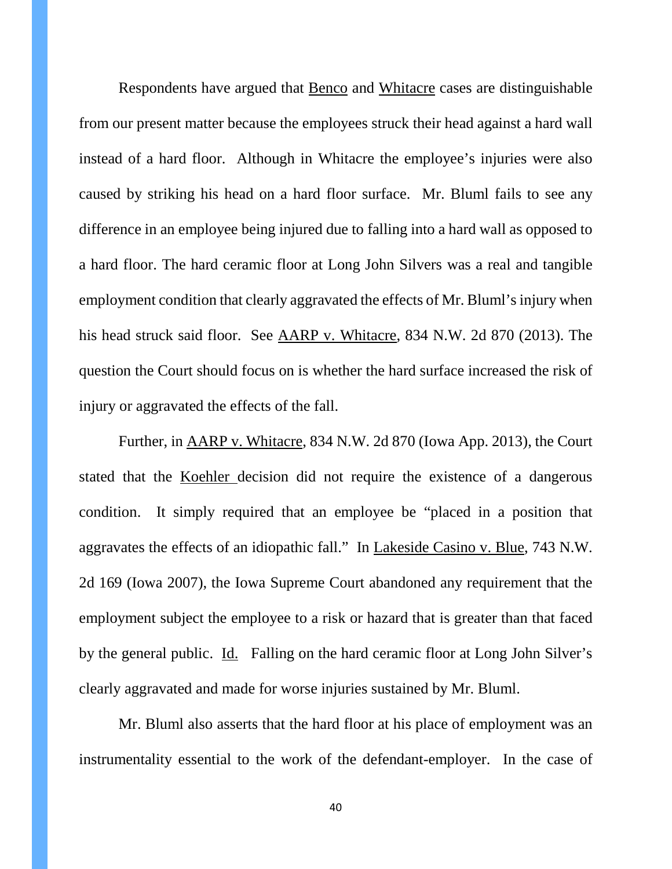Respondents have argued that Benco and Whitacre cases are distinguishable from our present matter because the employees struck their head against a hard wall instead of a hard floor. Although in Whitacre the employee's injuries were also caused by striking his head on a hard floor surface. Mr. Bluml fails to see any difference in an employee being injured due to falling into a hard wall as opposed to a hard floor. The hard ceramic floor at Long John Silvers was a real and tangible employment condition that clearly aggravated the effects of Mr. Bluml's injury when his head struck said floor. See AARP v. Whitacre, 834 N.W. 2d 870 (2013). The question the Court should focus on is whether the hard surface increased the risk of injury or aggravated the effects of the fall.

Further, in AARP v. Whitacre, 834 N.W. 2d 870 (Iowa App. 2013), the Court stated that the Koehler decision did not require the existence of a dangerous condition. It simply required that an employee be "placed in a position that aggravates the effects of an idiopathic fall." In Lakeside Casino v. Blue, 743 N.W. 2d 169 (Iowa 2007), the Iowa Supreme Court abandoned any requirement that the employment subject the employee to a risk or hazard that is greater than that faced by the general public. Id. Falling on the hard ceramic floor at Long John Silver's clearly aggravated and made for worse injuries sustained by Mr. Bluml.

Mr. Bluml also asserts that the hard floor at his place of employment was an instrumentality essential to the work of the defendant-employer. In the case of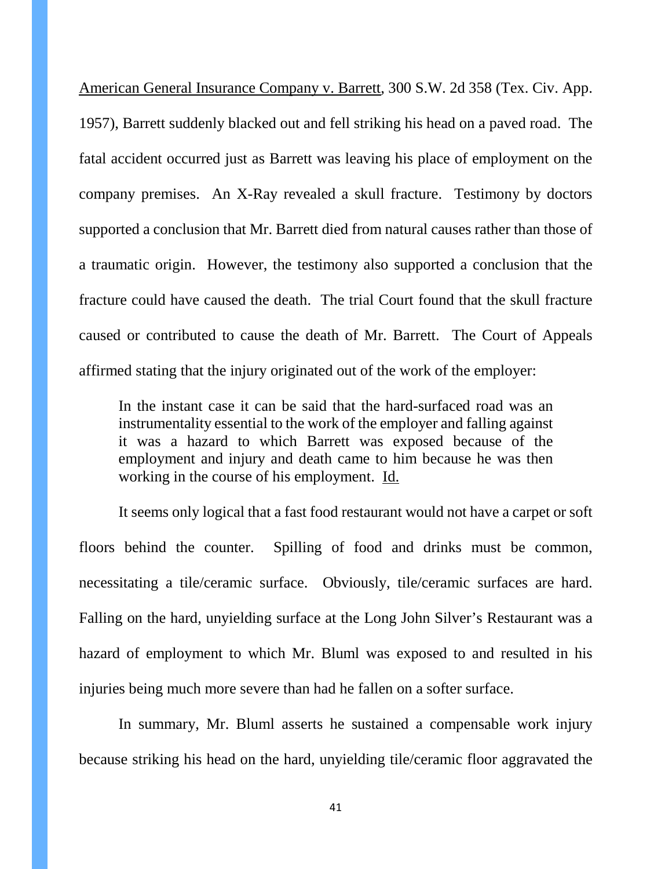American General Insurance Company v. Barrett, 300 S.W. 2d 358 (Tex. Civ. App. 1957), Barrett suddenly blacked out and fell striking his head on a paved road. The fatal accident occurred just as Barrett was leaving his place of employment on the company premises. An X-Ray revealed a skull fracture. Testimony by doctors supported a conclusion that Mr. Barrett died from natural causes rather than those of a traumatic origin. However, the testimony also supported a conclusion that the fracture could have caused the death. The trial Court found that the skull fracture caused or contributed to cause the death of Mr. Barrett. The Court of Appeals affirmed stating that the injury originated out of the work of the employer:

In the instant case it can be said that the hard-surfaced road was an instrumentality essential to the work of the employer and falling against it was a hazard to which Barrett was exposed because of the employment and injury and death came to him because he was then working in the course of his employment. Id.

It seems only logical that a fast food restaurant would not have a carpet or soft floors behind the counter. Spilling of food and drinks must be common, necessitating a tile/ceramic surface. Obviously, tile/ceramic surfaces are hard. Falling on the hard, unyielding surface at the Long John Silver's Restaurant was a hazard of employment to which Mr. Bluml was exposed to and resulted in his injuries being much more severe than had he fallen on a softer surface.

In summary, Mr. Bluml asserts he sustained a compensable work injury because striking his head on the hard, unyielding tile/ceramic floor aggravated the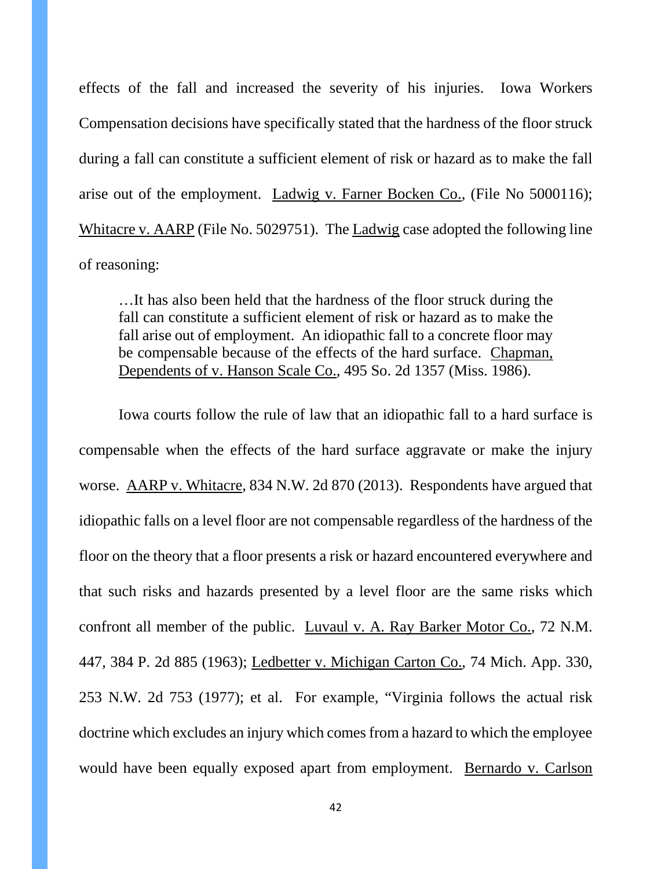effects of the fall and increased the severity of his injuries. Iowa Workers Compensation decisions have specifically stated that the hardness of the floor struck during a fall can constitute a sufficient element of risk or hazard as to make the fall arise out of the employment. Ladwig v. Farner Bocken Co., (File No 5000116); Whitacre v. AARP (File No. 5029751). The Ladwig case adopted the following line of reasoning:

…It has also been held that the hardness of the floor struck during the fall can constitute a sufficient element of risk or hazard as to make the fall arise out of employment. An idiopathic fall to a concrete floor may be compensable because of the effects of the hard surface. Chapman, Dependents of v. Hanson Scale Co., 495 So. 2d 1357 (Miss. 1986).

Iowa courts follow the rule of law that an idiopathic fall to a hard surface is compensable when the effects of the hard surface aggravate or make the injury worse. AARP v. Whitacre, 834 N.W. 2d 870 (2013). Respondents have argued that idiopathic falls on a level floor are not compensable regardless of the hardness of the floor on the theory that a floor presents a risk or hazard encountered everywhere and that such risks and hazards presented by a level floor are the same risks which confront all member of the public. Luvaul v. A. Ray Barker Motor Co., 72 N.M. 447, 384 P. 2d 885 (1963); Ledbetter v. Michigan Carton Co., 74 Mich. App. 330, 253 N.W. 2d 753 (1977); et al. For example, "Virginia follows the actual risk doctrine which excludes an injury which comes from a hazard to which the employee would have been equally exposed apart from employment. Bernardo v. Carlson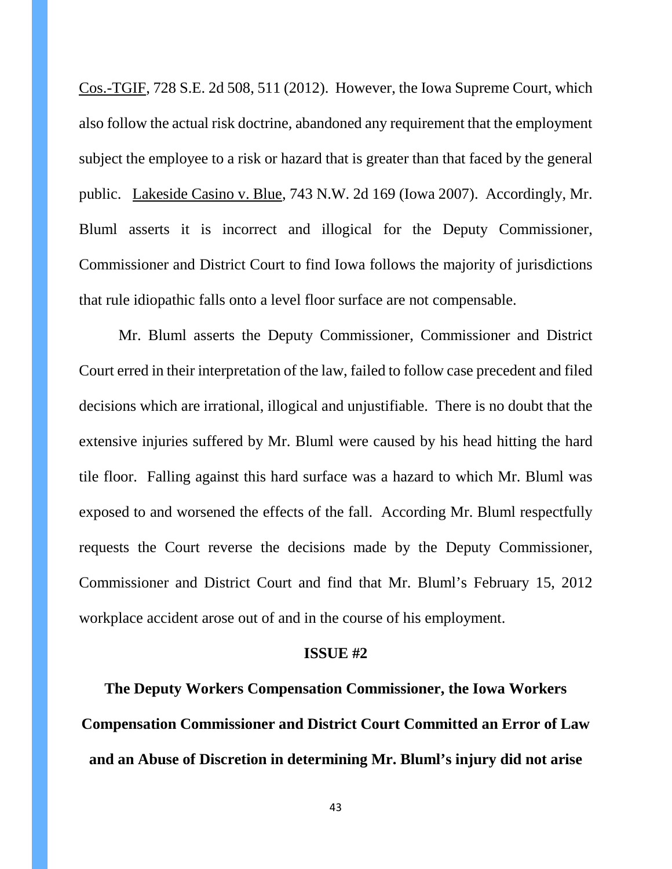Cos.-TGIF, 728 S.E. 2d 508, 511 (2012). However, the Iowa Supreme Court, which also follow the actual risk doctrine, abandoned any requirement that the employment subject the employee to a risk or hazard that is greater than that faced by the general public. Lakeside Casino v. Blue, 743 N.W. 2d 169 (Iowa 2007). Accordingly, Mr. Bluml asserts it is incorrect and illogical for the Deputy Commissioner, Commissioner and District Court to find Iowa follows the majority of jurisdictions that rule idiopathic falls onto a level floor surface are not compensable.

Mr. Bluml asserts the Deputy Commissioner, Commissioner and District Court erred in their interpretation of the law, failed to follow case precedent and filed decisions which are irrational, illogical and unjustifiable. There is no doubt that the extensive injuries suffered by Mr. Bluml were caused by his head hitting the hard tile floor. Falling against this hard surface was a hazard to which Mr. Bluml was exposed to and worsened the effects of the fall. According Mr. Bluml respectfully requests the Court reverse the decisions made by the Deputy Commissioner, Commissioner and District Court and find that Mr. Bluml's February 15, 2012 workplace accident arose out of and in the course of his employment.

#### **ISSUE #2**

**The Deputy Workers Compensation Commissioner, the Iowa Workers Compensation Commissioner and District Court Committed an Error of Law and an Abuse of Discretion in determining Mr. Bluml's injury did not arise**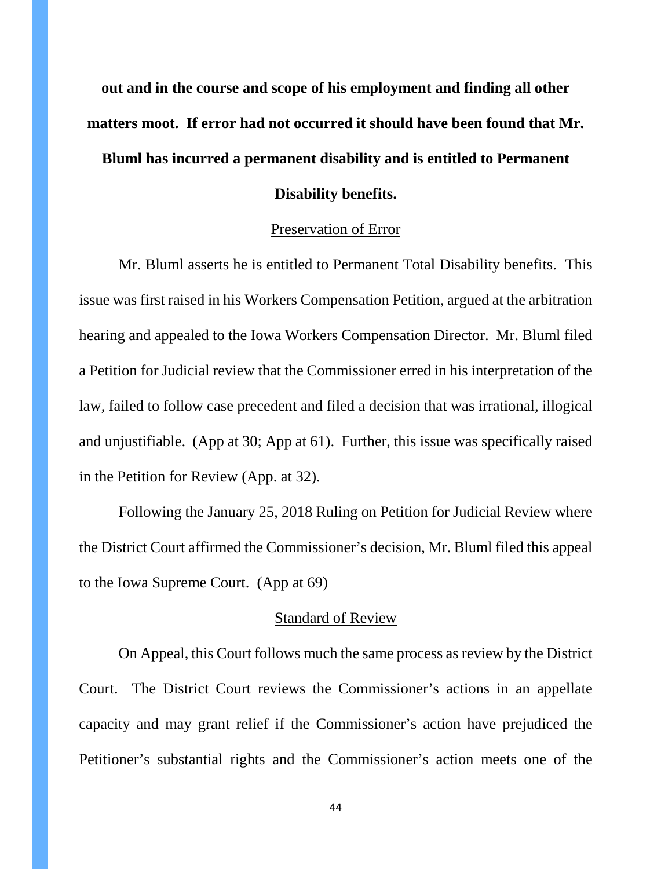**out and in the course and scope of his employment and finding all other matters moot. If error had not occurred it should have been found that Mr. Bluml has incurred a permanent disability and is entitled to Permanent Disability benefits.**

#### Preservation of Error

Mr. Bluml asserts he is entitled to Permanent Total Disability benefits. This issue was first raised in his Workers Compensation Petition, argued at the arbitration hearing and appealed to the Iowa Workers Compensation Director. Mr. Bluml filed a Petition for Judicial review that the Commissioner erred in his interpretation of the law, failed to follow case precedent and filed a decision that was irrational, illogical and unjustifiable. (App at 30; App at 61). Further, this issue was specifically raised in the Petition for Review (App. at 32).

Following the January 25, 2018 Ruling on Petition for Judicial Review where the District Court affirmed the Commissioner's decision, Mr. Bluml filed this appeal to the Iowa Supreme Court. (App at 69)

#### Standard of Review

On Appeal, this Court follows much the same process as review by the District Court. The District Court reviews the Commissioner's actions in an appellate capacity and may grant relief if the Commissioner's action have prejudiced the Petitioner's substantial rights and the Commissioner's action meets one of the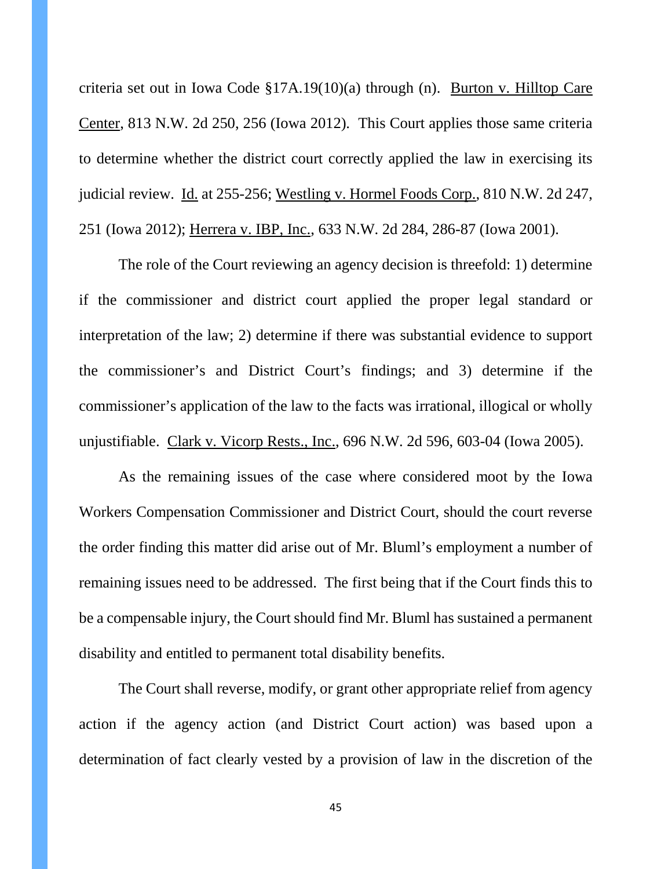criteria set out in Iowa Code §17A.19(10)(a) through (n). Burton v. Hilltop Care Center, 813 N.W. 2d 250, 256 (Iowa 2012). This Court applies those same criteria to determine whether the district court correctly applied the law in exercising its judicial review. Id. at 255-256; Westling v. Hormel Foods Corp., 810 N.W. 2d 247, 251 (Iowa 2012); Herrera v. IBP, Inc., 633 N.W. 2d 284, 286-87 (Iowa 2001).

The role of the Court reviewing an agency decision is threefold: 1) determine if the commissioner and district court applied the proper legal standard or interpretation of the law; 2) determine if there was substantial evidence to support the commissioner's and District Court's findings; and 3) determine if the commissioner's application of the law to the facts was irrational, illogical or wholly unjustifiable. Clark v. Vicorp Rests., Inc., 696 N.W. 2d 596, 603-04 (Iowa 2005).

As the remaining issues of the case where considered moot by the Iowa Workers Compensation Commissioner and District Court, should the court reverse the order finding this matter did arise out of Mr. Bluml's employment a number of remaining issues need to be addressed. The first being that if the Court finds this to be a compensable injury, the Court should find Mr. Bluml has sustained a permanent disability and entitled to permanent total disability benefits.

The Court shall reverse, modify, or grant other appropriate relief from agency action if the agency action (and District Court action) was based upon a determination of fact clearly vested by a provision of law in the discretion of the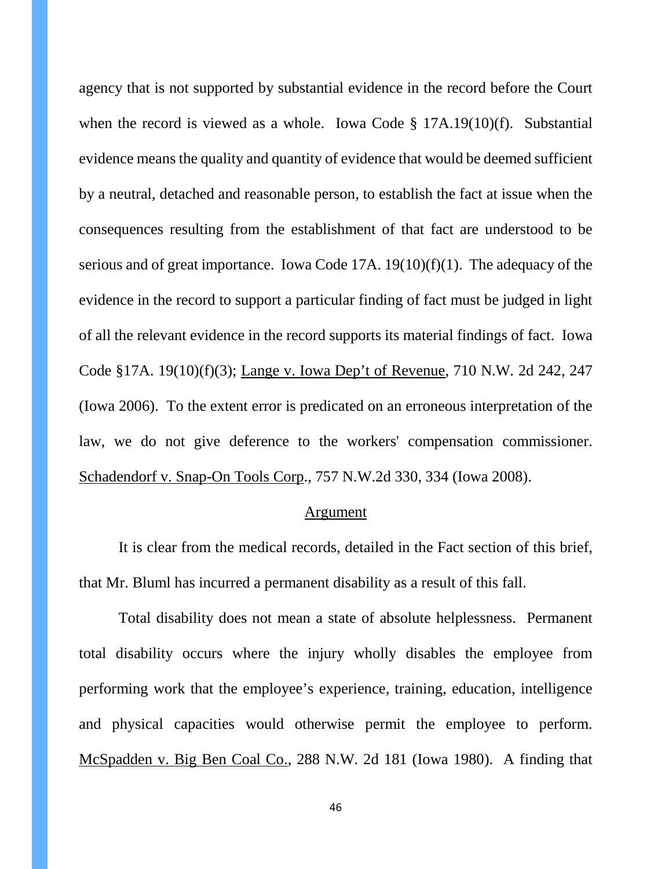agency that is not supported by substantial evidence in the record before the Court when the record is viewed as a whole. Iowa Code § 17A.19(10)(f). Substantial evidence means the quality and quantity of evidence that would be deemed sufficient by a neutral, detached and reasonable person, to establish the fact at issue when the consequences resulting from the establishment of that fact are understood to be serious and of great importance. Iowa Code 17A. 19(10)(f)(1). The adequacy of the evidence in the record to support a particular finding of fact must be judged in light of all the relevant evidence in the record supports its material findings of fact. Iowa Code §17A. 19(10)(f)(3); Lange v. Iowa Dep't of Revenue, 710 N.W. 2d 242, 247 (Iowa 2006). To the extent error is predicated on an erroneous interpretation of the law, we do not give deference to the workers' compensation commissioner. Schadendorf v. Snap-On Tools Corp., 757 N.W.2d 330, 334 (Iowa 2008).

#### Argument

It is clear from the medical records, detailed in the Fact section of this brief, that Mr. Bluml has incurred a permanent disability as a result of this fall.

Total disability does not mean a state of absolute helplessness. Permanent total disability occurs where the injury wholly disables the employee from performing work that the employee's experience, training, education, intelligence and physical capacities would otherwise permit the employee to perform. McSpadden v. Big Ben Coal Co., 288 N.W. 2d 181 (Iowa 1980). A finding that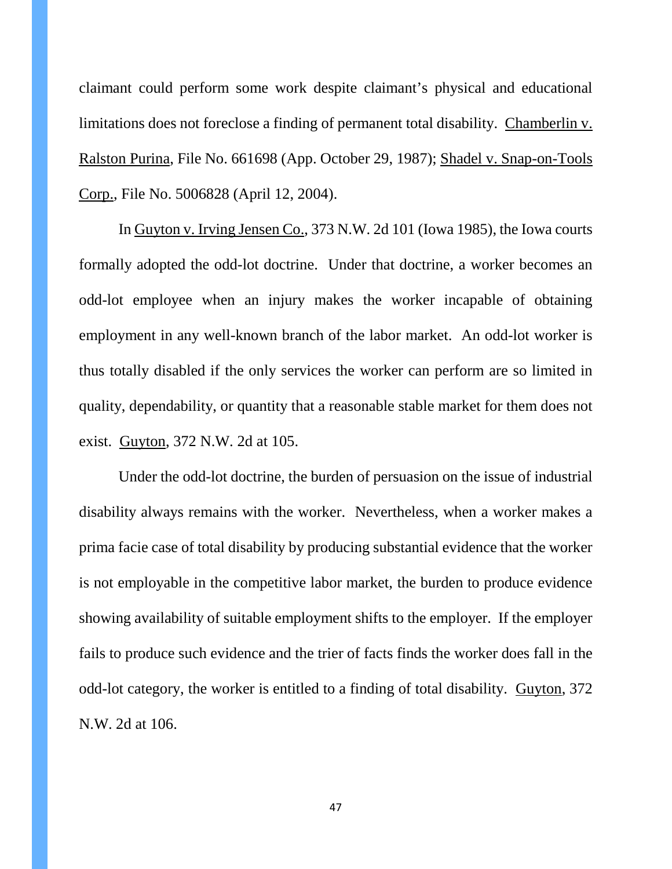claimant could perform some work despite claimant's physical and educational limitations does not foreclose a finding of permanent total disability. Chamberlin v. Ralston Purina, File No. 661698 (App. October 29, 1987); Shadel v. Snap-on-Tools Corp., File No. 5006828 (April 12, 2004).

In Guyton v. Irving Jensen Co., 373 N.W. 2d 101 (Iowa 1985), the Iowa courts formally adopted the odd-lot doctrine. Under that doctrine, a worker becomes an odd-lot employee when an injury makes the worker incapable of obtaining employment in any well-known branch of the labor market. An odd-lot worker is thus totally disabled if the only services the worker can perform are so limited in quality, dependability, or quantity that a reasonable stable market for them does not exist. Guyton, 372 N.W. 2d at 105.

Under the odd-lot doctrine, the burden of persuasion on the issue of industrial disability always remains with the worker. Nevertheless, when a worker makes a prima facie case of total disability by producing substantial evidence that the worker is not employable in the competitive labor market, the burden to produce evidence showing availability of suitable employment shifts to the employer. If the employer fails to produce such evidence and the trier of facts finds the worker does fall in the odd-lot category, the worker is entitled to a finding of total disability. Guyton, 372 N.W. 2d at 106.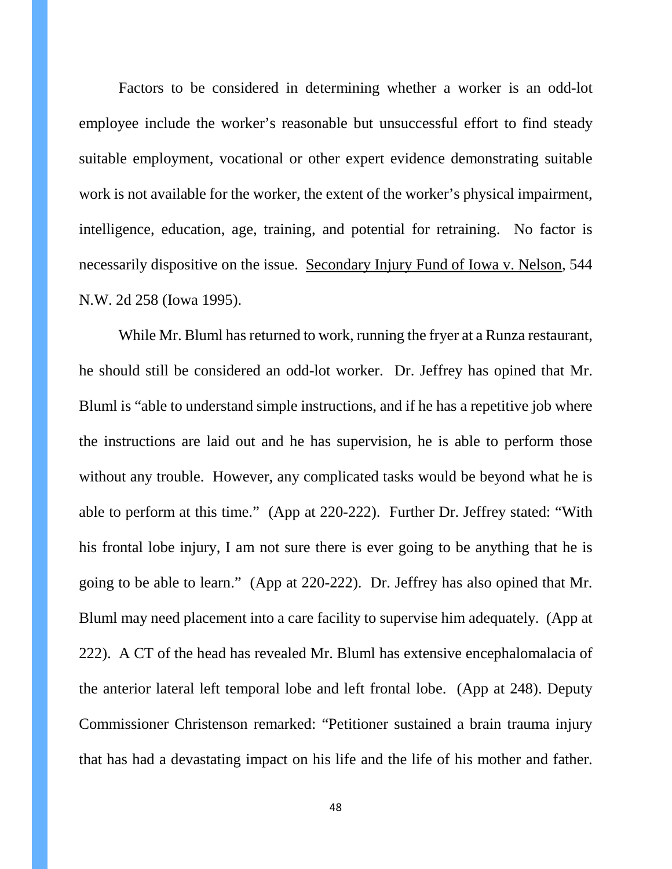Factors to be considered in determining whether a worker is an odd-lot employee include the worker's reasonable but unsuccessful effort to find steady suitable employment, vocational or other expert evidence demonstrating suitable work is not available for the worker, the extent of the worker's physical impairment, intelligence, education, age, training, and potential for retraining. No factor is necessarily dispositive on the issue. Secondary Injury Fund of Iowa v. Nelson, 544 N.W. 2d 258 (Iowa 1995).

While Mr. Bluml has returned to work, running the fryer at a Runza restaurant, he should still be considered an odd-lot worker. Dr. Jeffrey has opined that Mr. Bluml is "able to understand simple instructions, and if he has a repetitive job where the instructions are laid out and he has supervision, he is able to perform those without any trouble. However, any complicated tasks would be beyond what he is able to perform at this time." (App at 220-222). Further Dr. Jeffrey stated: "With his frontal lobe injury, I am not sure there is ever going to be anything that he is going to be able to learn." (App at 220-222). Dr. Jeffrey has also opined that Mr. Bluml may need placement into a care facility to supervise him adequately. (App at 222). A CT of the head has revealed Mr. Bluml has extensive encephalomalacia of the anterior lateral left temporal lobe and left frontal lobe. (App at 248). Deputy Commissioner Christenson remarked: "Petitioner sustained a brain trauma injury that has had a devastating impact on his life and the life of his mother and father.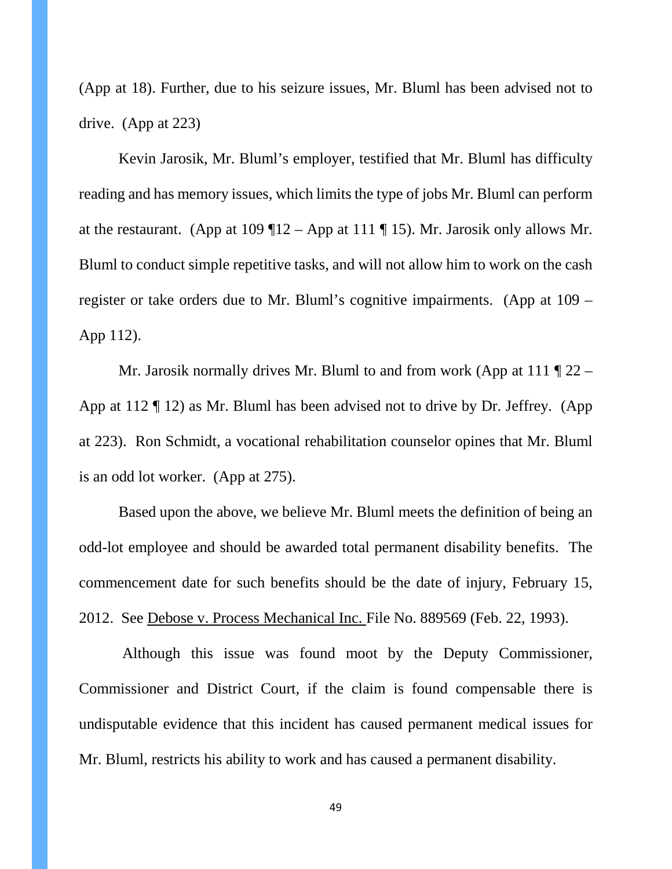(App at 18). Further, due to his seizure issues, Mr. Bluml has been advised not to drive. (App at 223)

Kevin Jarosik, Mr. Bluml's employer, testified that Mr. Bluml has difficulty reading and has memory issues, which limits the type of jobs Mr. Bluml can perform at the restaurant. (App at  $109$  ¶12 – App at  $111$  ¶ 15). Mr. Jarosik only allows Mr. Bluml to conduct simple repetitive tasks, and will not allow him to work on the cash register or take orders due to Mr. Bluml's cognitive impairments. (App at 109 – App 112).

Mr. Jarosik normally drives Mr. Bluml to and from work (App at  $111 \text{ T}$  22 – App at 112 ¶ 12) as Mr. Bluml has been advised not to drive by Dr. Jeffrey. (App at 223). Ron Schmidt, a vocational rehabilitation counselor opines that Mr. Bluml is an odd lot worker. (App at 275).

Based upon the above, we believe Mr. Bluml meets the definition of being an odd-lot employee and should be awarded total permanent disability benefits. The commencement date for such benefits should be the date of injury, February 15, 2012. See Debose v. Process Mechanical Inc. File No. 889569 (Feb. 22, 1993).

Although this issue was found moot by the Deputy Commissioner, Commissioner and District Court, if the claim is found compensable there is undisputable evidence that this incident has caused permanent medical issues for Mr. Bluml, restricts his ability to work and has caused a permanent disability.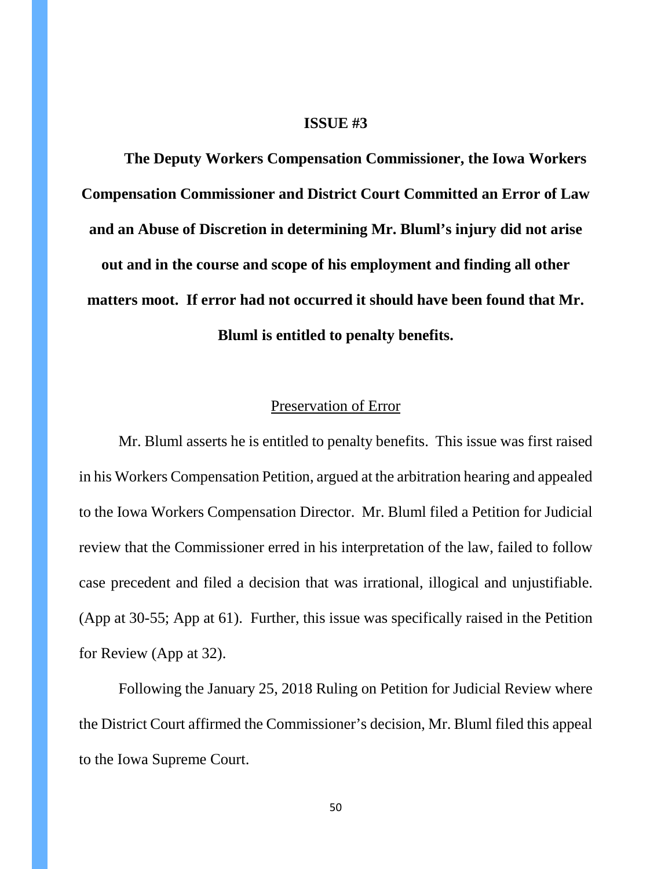#### **ISSUE #3**

**The Deputy Workers Compensation Commissioner, the Iowa Workers Compensation Commissioner and District Court Committed an Error of Law and an Abuse of Discretion in determining Mr. Bluml's injury did not arise out and in the course and scope of his employment and finding all other matters moot. If error had not occurred it should have been found that Mr. Bluml is entitled to penalty benefits.**

### Preservation of Error

Mr. Bluml asserts he is entitled to penalty benefits. This issue was first raised in his Workers Compensation Petition, argued at the arbitration hearing and appealed to the Iowa Workers Compensation Director. Mr. Bluml filed a Petition for Judicial review that the Commissioner erred in his interpretation of the law, failed to follow case precedent and filed a decision that was irrational, illogical and unjustifiable. (App at 30-55; App at 61). Further, this issue was specifically raised in the Petition for Review (App at 32).

Following the January 25, 2018 Ruling on Petition for Judicial Review where the District Court affirmed the Commissioner's decision, Mr. Bluml filed this appeal to the Iowa Supreme Court.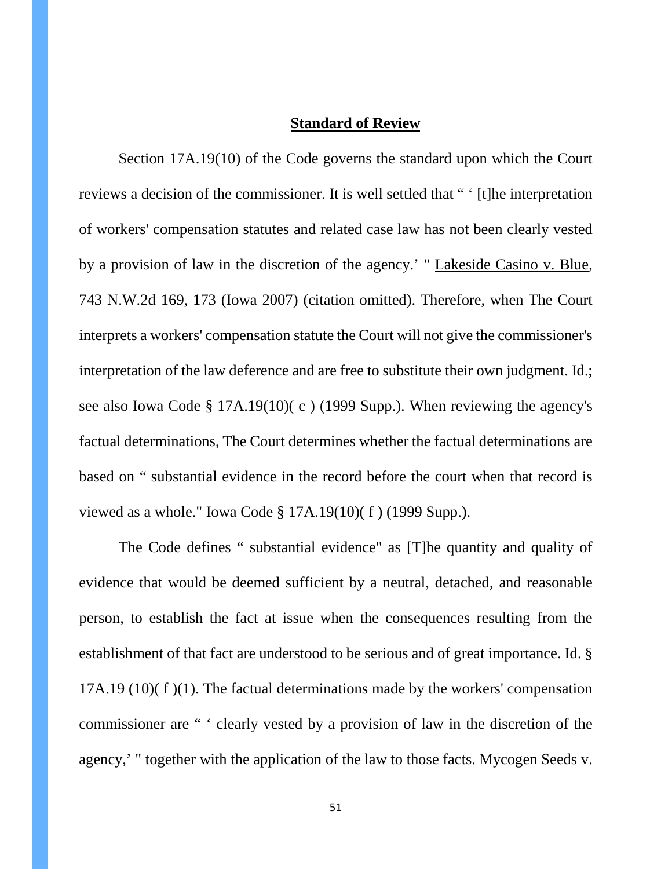# **Standard of Review**

Section 17A.19(10) of the Code governs the standard upon which the Court reviews a decision of the commissioner. It is well settled that " ' [t]he interpretation of workers' compensation statutes and related case law has not been clearly vested by a provision of law in the discretion of the agency.' " Lakeside Casino v. Blue, 743 N.W.2d 169, 173 (Iowa 2007) (citation omitted). Therefore, when The Court interprets a workers' compensation statute the Court will not give the commissioner's interpretation of the law deference and are free to substitute their own judgment. Id.; see also Iowa Code § 17A.19(10)( c ) (1999 Supp.). When reviewing the agency's factual determinations, The Court determines whether the factual determinations are based on " substantial evidence in the record before the court when that record is viewed as a whole." Iowa Code § 17A.19(10)( f ) (1999 Supp.).

The Code defines " substantial evidence" as [T]he quantity and quality of evidence that would be deemed sufficient by a neutral, detached, and reasonable person, to establish the fact at issue when the consequences resulting from the establishment of that fact are understood to be serious and of great importance. Id. § 17A.19 (10)( f )(1). The factual determinations made by the workers' compensation commissioner are " ' clearly vested by a provision of law in the discretion of the agency,' " together with the application of the law to those facts. Mycogen Seeds v.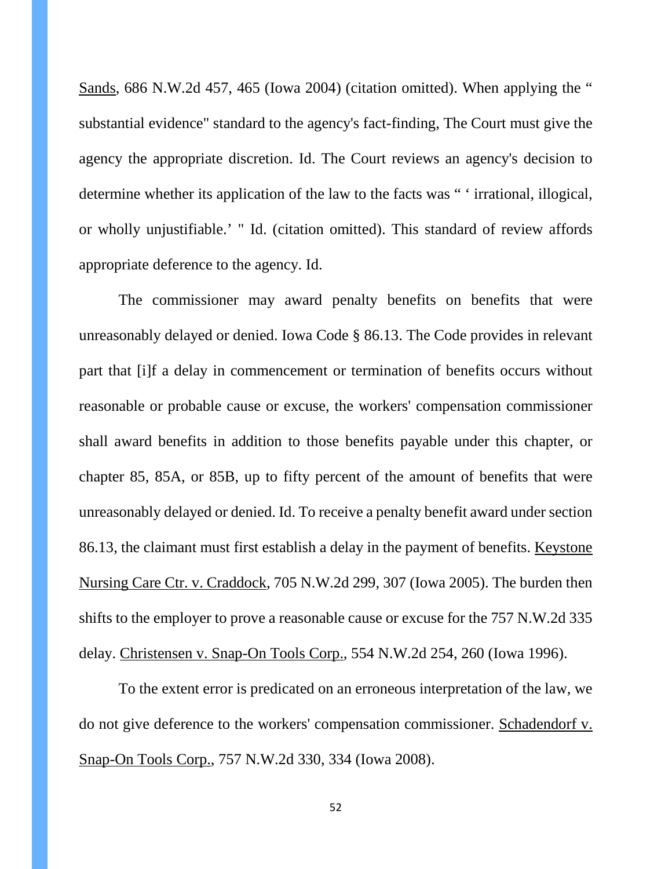Sands, 686 N.W.2d 457, 465 (Iowa 2004) (citation omitted). When applying the " substantial evidence" standard to the agency's fact-finding, The Court must give the agency the appropriate discretion. Id. The Court reviews an agency's decision to determine whether its application of the law to the facts was " ' irrational, illogical, or wholly unjustifiable.' " Id. (citation omitted). This standard of review affords appropriate deference to the agency. Id.

The commissioner may award penalty benefits on benefits that were unreasonably delayed or denied. Iowa Code § 86.13. The Code provides in relevant part that [i]f a delay in commencement or termination of benefits occurs without reasonable or probable cause or excuse, the workers' compensation commissioner shall award benefits in addition to those benefits payable under this chapter, or chapter 85, 85A, or 85B, up to fifty percent of the amount of benefits that were unreasonably delayed or denied. Id. To receive a penalty benefit award under section 86.13, the claimant must first establish a delay in the payment of benefits. Keystone Nursing Care Ctr. v. Craddock, 705 N.W.2d 299, 307 (Iowa 2005). The burden then shifts to the employer to prove a reasonable cause or excuse for the 757 N.W.2d 335 delay. Christensen v. Snap-On Tools Corp., 554 N.W.2d 254, 260 (Iowa 1996).

To the extent error is predicated on an erroneous interpretation of the law, we do not give deference to the workers' compensation commissioner. Schadendorf v. Snap-On Tools Corp., 757 N.W.2d 330, 334 (Iowa 2008).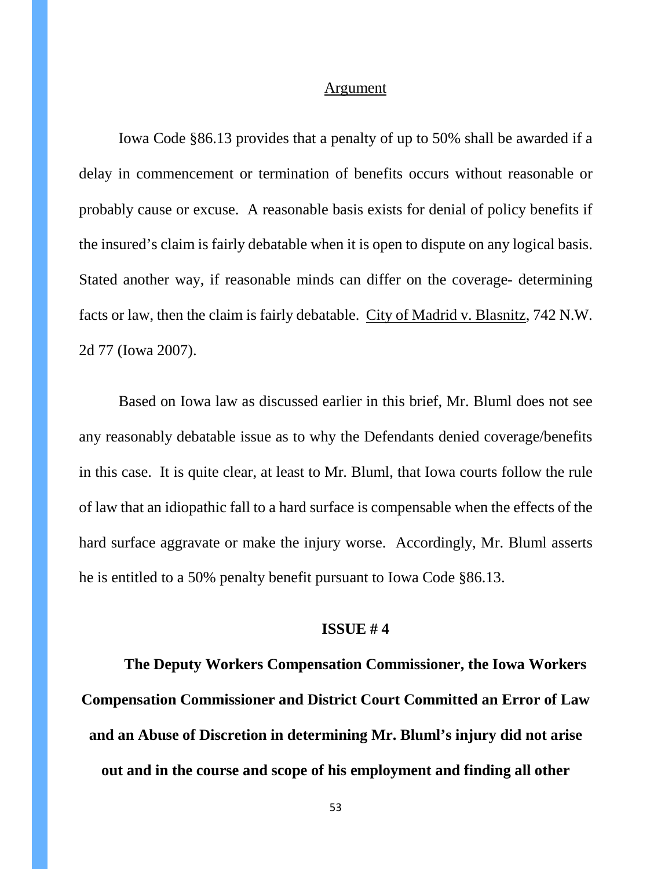#### Argument

Iowa Code §86.13 provides that a penalty of up to 50% shall be awarded if a delay in commencement or termination of benefits occurs without reasonable or probably cause or excuse. A reasonable basis exists for denial of policy benefits if the insured's claim is fairly debatable when it is open to dispute on any logical basis. Stated another way, if reasonable minds can differ on the coverage- determining facts or law, then the claim is fairly debatable. City of Madrid v. Blasnitz, 742 N.W. 2d 77 (Iowa 2007).

Based on Iowa law as discussed earlier in this brief, Mr. Bluml does not see any reasonably debatable issue as to why the Defendants denied coverage/benefits in this case. It is quite clear, at least to Mr. Bluml, that Iowa courts follow the rule of law that an idiopathic fall to a hard surface is compensable when the effects of the hard surface aggravate or make the injury worse. Accordingly, Mr. Bluml asserts he is entitled to a 50% penalty benefit pursuant to Iowa Code §86.13.

### **ISSUE # 4**

**The Deputy Workers Compensation Commissioner, the Iowa Workers Compensation Commissioner and District Court Committed an Error of Law and an Abuse of Discretion in determining Mr. Bluml's injury did not arise out and in the course and scope of his employment and finding all other**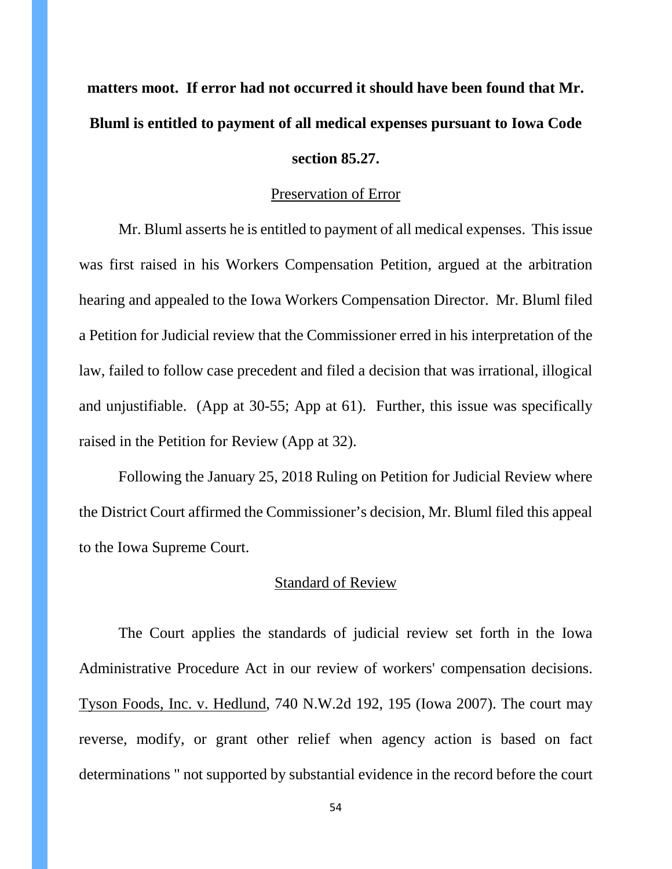# **matters moot. If error had not occurred it should have been found that Mr. Bluml is entitled to payment of all medical expenses pursuant to Iowa Code**

### **section 85.27.**

#### Preservation of Error

Mr. Bluml asserts he is entitled to payment of all medical expenses. This issue was first raised in his Workers Compensation Petition, argued at the arbitration hearing and appealed to the Iowa Workers Compensation Director. Mr. Bluml filed a Petition for Judicial review that the Commissioner erred in his interpretation of the law, failed to follow case precedent and filed a decision that was irrational, illogical and unjustifiable. (App at 30-55; App at 61). Further, this issue was specifically raised in the Petition for Review (App at 32).

Following the January 25, 2018 Ruling on Petition for Judicial Review where the District Court affirmed the Commissioner's decision, Mr. Bluml filed this appeal to the Iowa Supreme Court.

# Standard of Review

The Court applies the standards of judicial review set forth in the Iowa Administrative Procedure Act in our review of workers' compensation decisions. Tyson Foods, Inc. v. Hedlund, 740 N.W.2d 192, 195 (Iowa 2007). The court may reverse, modify, or grant other relief when agency action is based on fact determinations " not supported by substantial evidence in the record before the court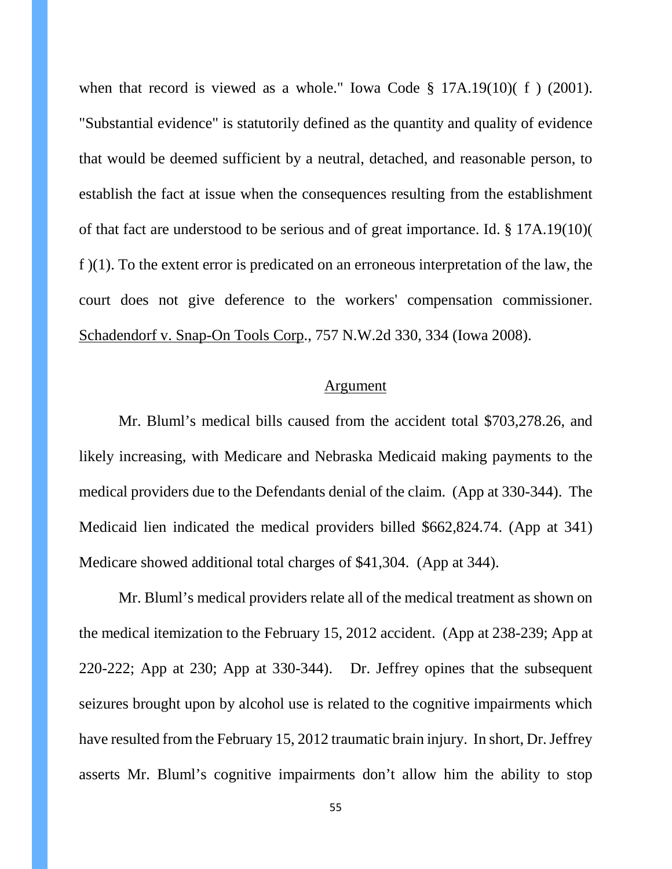when that record is viewed as a whole." Iowa Code § 17A.19(10)( f ) (2001). "Substantial evidence" is statutorily defined as the quantity and quality of evidence that would be deemed sufficient by a neutral, detached, and reasonable person, to establish the fact at issue when the consequences resulting from the establishment of that fact are understood to be serious and of great importance. Id. § 17A.19(10)( f )(1). To the extent error is predicated on an erroneous interpretation of the law, the court does not give deference to the workers' compensation commissioner. Schadendorf v. Snap-On Tools Corp., 757 N.W.2d 330, 334 (Iowa 2008).

#### Argument

Mr. Bluml's medical bills caused from the accident total \$703,278.26, and likely increasing, with Medicare and Nebraska Medicaid making payments to the medical providers due to the Defendants denial of the claim. (App at 330-344). The Medicaid lien indicated the medical providers billed \$662,824.74. (App at 341) Medicare showed additional total charges of \$41,304. (App at 344).

Mr. Bluml's medical providers relate all of the medical treatment as shown on the medical itemization to the February 15, 2012 accident. (App at 238-239; App at 220-222; App at 230; App at 330-344). Dr. Jeffrey opines that the subsequent seizures brought upon by alcohol use is related to the cognitive impairments which have resulted from the February 15, 2012 traumatic brain injury. In short, Dr. Jeffrey asserts Mr. Bluml's cognitive impairments don't allow him the ability to stop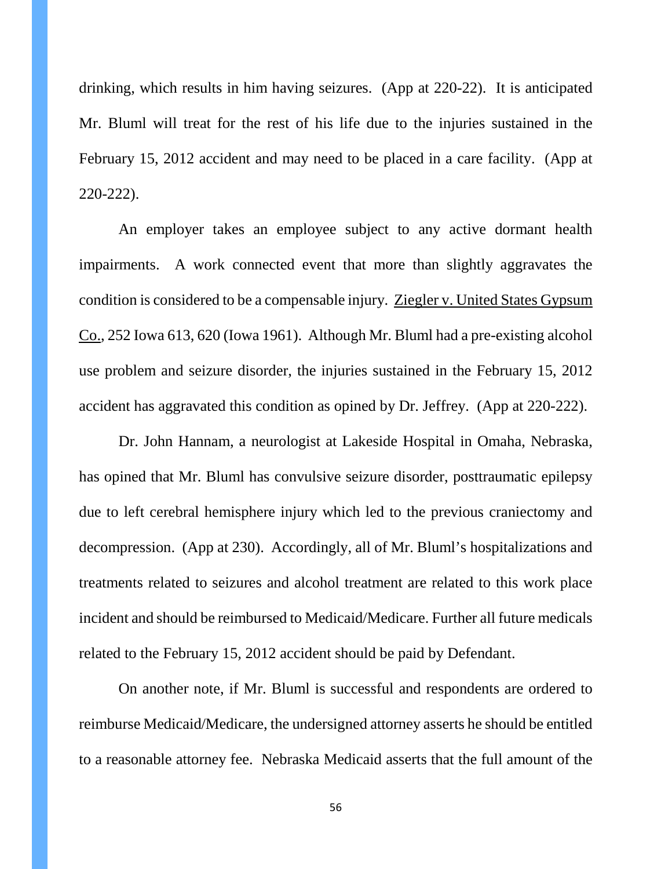drinking, which results in him having seizures. (App at 220-22). It is anticipated Mr. Bluml will treat for the rest of his life due to the injuries sustained in the February 15, 2012 accident and may need to be placed in a care facility. (App at 220-222).

An employer takes an employee subject to any active dormant health impairments. A work connected event that more than slightly aggravates the condition is considered to be a compensable injury. Ziegler v. United States Gypsum Co., 252 Iowa 613, 620 (Iowa 1961). Although Mr. Bluml had a pre-existing alcohol use problem and seizure disorder, the injuries sustained in the February 15, 2012 accident has aggravated this condition as opined by Dr. Jeffrey. (App at 220-222).

Dr. John Hannam, a neurologist at Lakeside Hospital in Omaha, Nebraska, has opined that Mr. Bluml has convulsive seizure disorder, posttraumatic epilepsy due to left cerebral hemisphere injury which led to the previous craniectomy and decompression. (App at 230). Accordingly, all of Mr. Bluml's hospitalizations and treatments related to seizures and alcohol treatment are related to this work place incident and should be reimbursed to Medicaid/Medicare. Further all future medicals related to the February 15, 2012 accident should be paid by Defendant.

On another note, if Mr. Bluml is successful and respondents are ordered to reimburse Medicaid/Medicare, the undersigned attorney asserts he should be entitled to a reasonable attorney fee. Nebraska Medicaid asserts that the full amount of the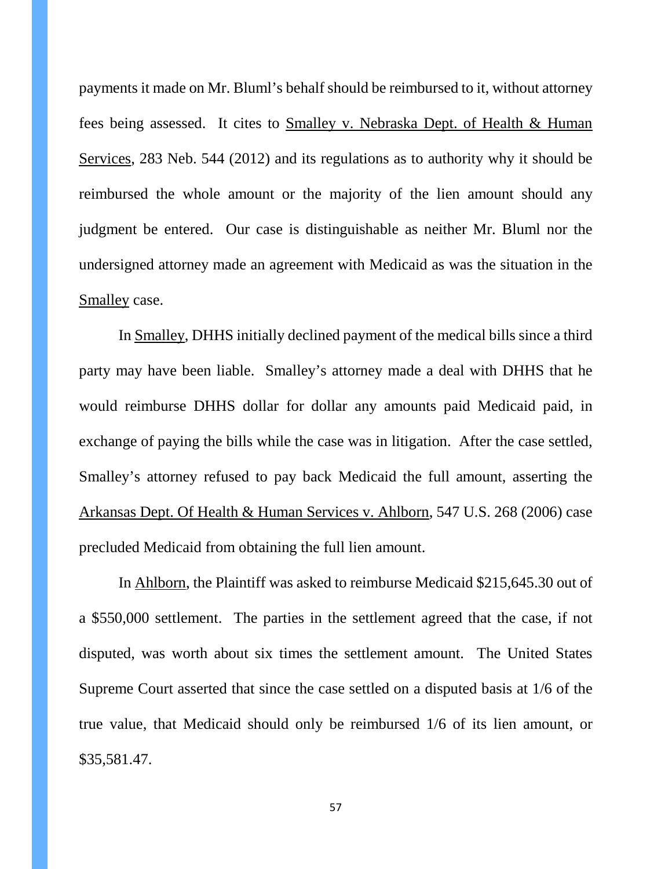payments it made on Mr. Bluml's behalf should be reimbursed to it, without attorney fees being assessed. It cites to Smalley v. Nebraska Dept. of Health & Human Services, 283 Neb. 544 (2012) and its regulations as to authority why it should be reimbursed the whole amount or the majority of the lien amount should any judgment be entered. Our case is distinguishable as neither Mr. Bluml nor the undersigned attorney made an agreement with Medicaid as was the situation in the Smalley case.

In Smalley, DHHS initially declined payment of the medical bills since a third party may have been liable. Smalley's attorney made a deal with DHHS that he would reimburse DHHS dollar for dollar any amounts paid Medicaid paid, in exchange of paying the bills while the case was in litigation. After the case settled, Smalley's attorney refused to pay back Medicaid the full amount, asserting the Arkansas Dept. Of Health & Human Services v. Ahlborn, 547 U.S. 268 (2006) case precluded Medicaid from obtaining the full lien amount.

In Ahlborn, the Plaintiff was asked to reimburse Medicaid \$215,645.30 out of a \$550,000 settlement. The parties in the settlement agreed that the case, if not disputed, was worth about six times the settlement amount. The United States Supreme Court asserted that since the case settled on a disputed basis at 1/6 of the true value, that Medicaid should only be reimbursed 1/6 of its lien amount, or \$35,581.47.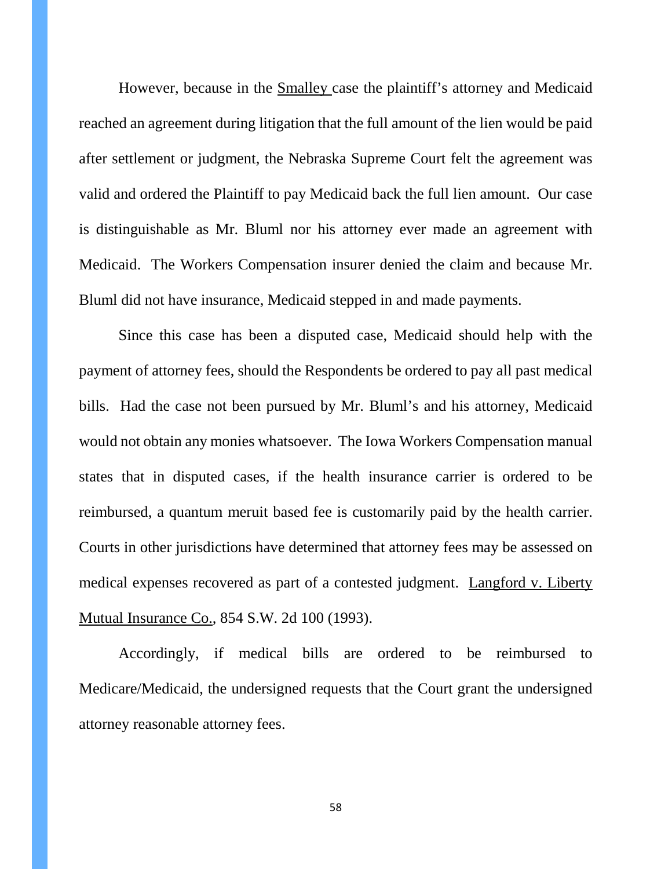However, because in the Smalley case the plaintiff's attorney and Medicaid reached an agreement during litigation that the full amount of the lien would be paid after settlement or judgment, the Nebraska Supreme Court felt the agreement was valid and ordered the Plaintiff to pay Medicaid back the full lien amount. Our case is distinguishable as Mr. Bluml nor his attorney ever made an agreement with Medicaid. The Workers Compensation insurer denied the claim and because Mr. Bluml did not have insurance, Medicaid stepped in and made payments.

Since this case has been a disputed case, Medicaid should help with the payment of attorney fees, should the Respondents be ordered to pay all past medical bills. Had the case not been pursued by Mr. Bluml's and his attorney, Medicaid would not obtain any monies whatsoever. The Iowa Workers Compensation manual states that in disputed cases, if the health insurance carrier is ordered to be reimbursed, a quantum meruit based fee is customarily paid by the health carrier. Courts in other jurisdictions have determined that attorney fees may be assessed on medical expenses recovered as part of a contested judgment. Langford v. Liberty Mutual Insurance Co., 854 S.W. 2d 100 (1993).

Accordingly, if medical bills are ordered to be reimbursed to Medicare/Medicaid, the undersigned requests that the Court grant the undersigned attorney reasonable attorney fees.

58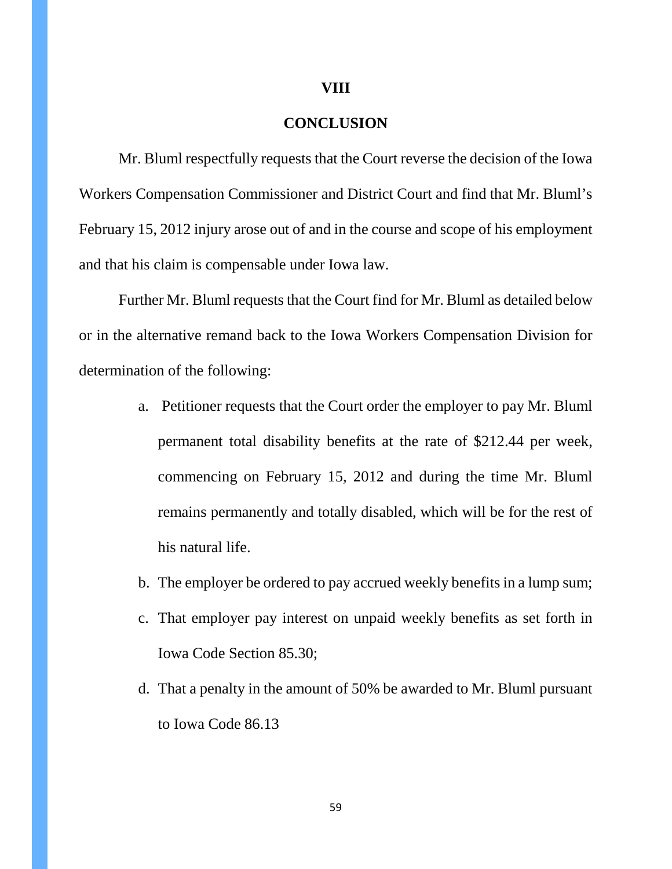#### **VIII**

# **CONCLUSION**

Mr. Bluml respectfully requests that the Court reverse the decision of the Iowa Workers Compensation Commissioner and District Court and find that Mr. Bluml's February 15, 2012 injury arose out of and in the course and scope of his employment and that his claim is compensable under Iowa law.

Further Mr. Bluml requests that the Court find for Mr. Bluml as detailed below or in the alternative remand back to the Iowa Workers Compensation Division for determination of the following:

- a. Petitioner requests that the Court order the employer to pay Mr. Bluml permanent total disability benefits at the rate of \$212.44 per week, commencing on February 15, 2012 and during the time Mr. Bluml remains permanently and totally disabled, which will be for the rest of his natural life.
- b. The employer be ordered to pay accrued weekly benefits in a lump sum;
- c. That employer pay interest on unpaid weekly benefits as set forth in Iowa Code Section 85.30;
- d. That a penalty in the amount of 50% be awarded to Mr. Bluml pursuant to Iowa Code 86.13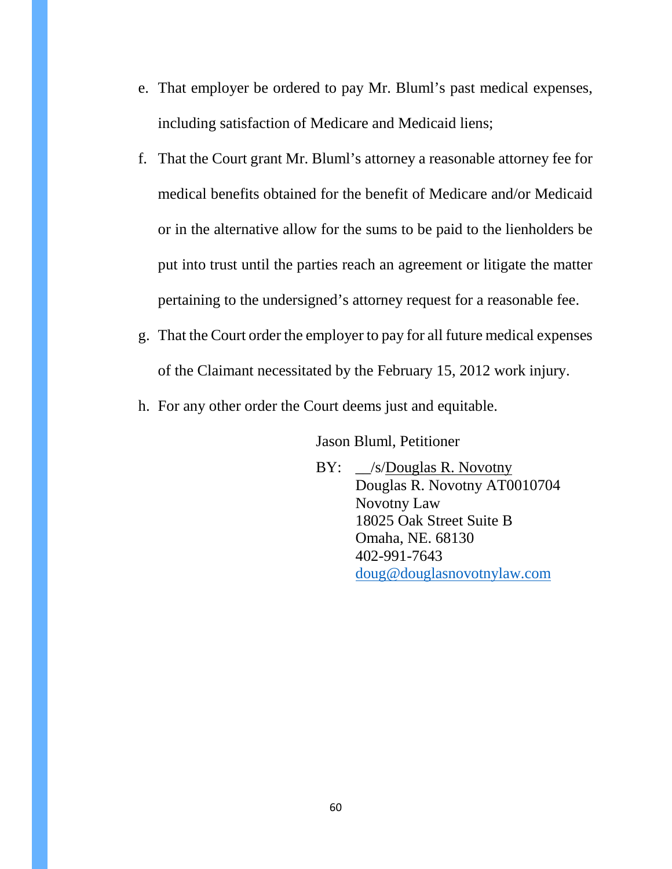- e. That employer be ordered to pay Mr. Bluml's past medical expenses, including satisfaction of Medicare and Medicaid liens;
- f. That the Court grant Mr. Bluml's attorney a reasonable attorney fee for medical benefits obtained for the benefit of Medicare and/or Medicaid or in the alternative allow for the sums to be paid to the lienholders be put into trust until the parties reach an agreement or litigate the matter pertaining to the undersigned's attorney request for a reasonable fee.
- g. That the Court order the employer to pay for all future medical expenses of the Claimant necessitated by the February 15, 2012 work injury.
- h. For any other order the Court deems just and equitable.

Jason Bluml, Petitioner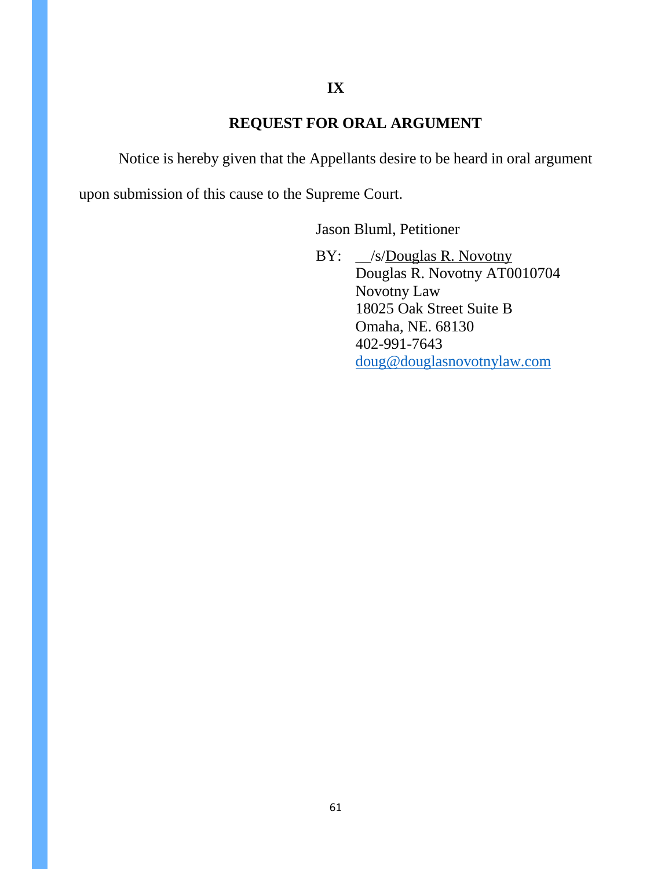# **IX**

# **REQUEST FOR ORAL ARGUMENT**

Notice is hereby given that the Appellants desire to be heard in oral argument

upon submission of this cause to the Supreme Court.

Jason Bluml, Petitioner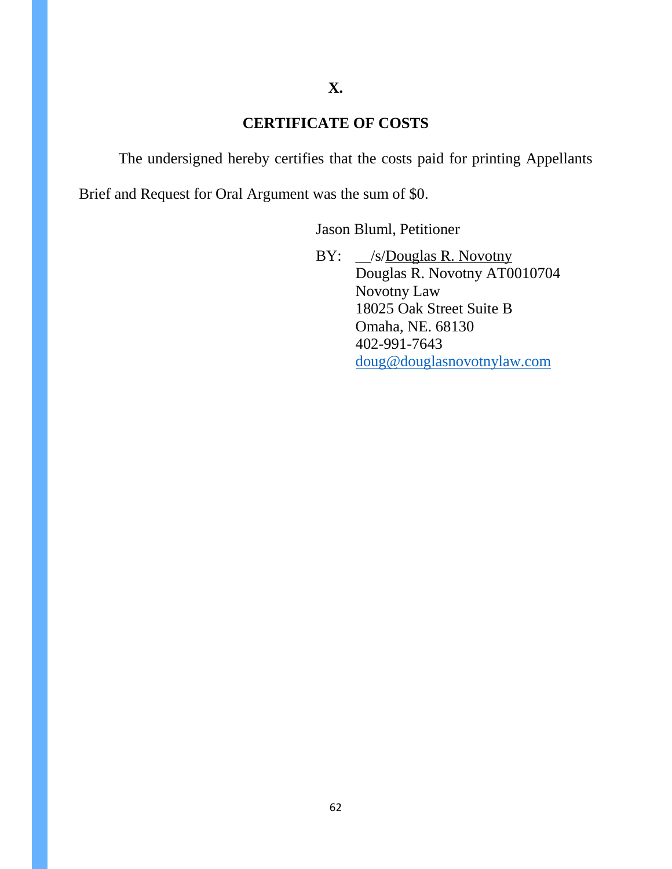# **CERTIFICATE OF COSTS**

The undersigned hereby certifies that the costs paid for printing Appellants

Brief and Request for Oral Argument was the sum of \$0.

Jason Bluml, Petitioner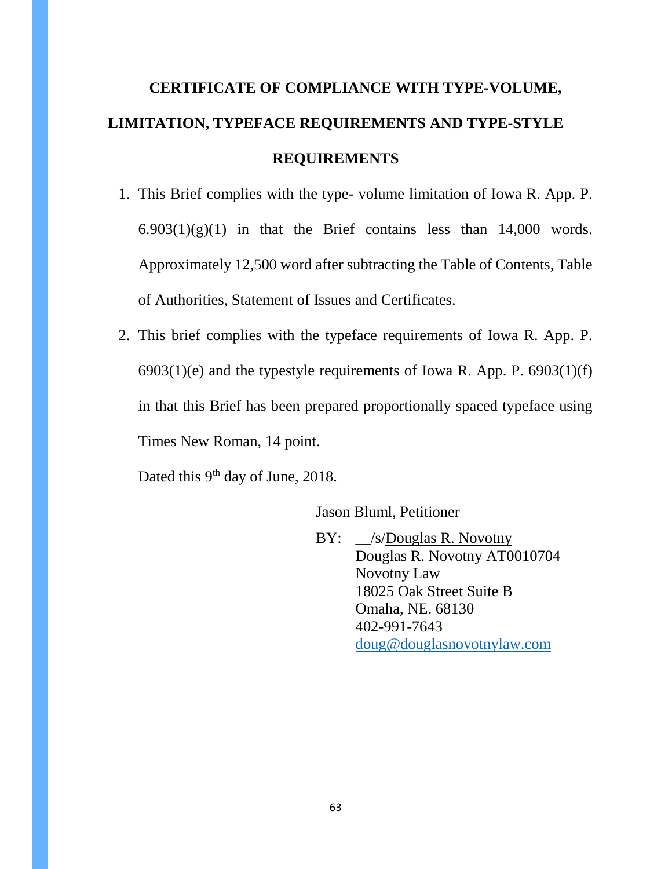# **CERTIFICATE OF COMPLIANCE WITH TYPE-VOLUME, LIMITATION, TYPEFACE REQUIREMENTS AND TYPE-STYLE REQUIREMENTS**

- 1. This Brief complies with the type- volume limitation of Iowa R. App. P.  $6.903(1)(g)(1)$  in that the Brief contains less than 14,000 words. Approximately 12,500 word after subtracting the Table of Contents, Table of Authorities, Statement of Issues and Certificates.
- 2. This brief complies with the typeface requirements of Iowa R. App. P.  $6903(1)(e)$  and the typestyle requirements of Iowa R. App. P.  $6903(1)(f)$ in that this Brief has been prepared proportionally spaced typeface using Times New Roman, 14 point.

Dated this 9<sup>th</sup> day of June, 2018.

Jason Bluml, Petitioner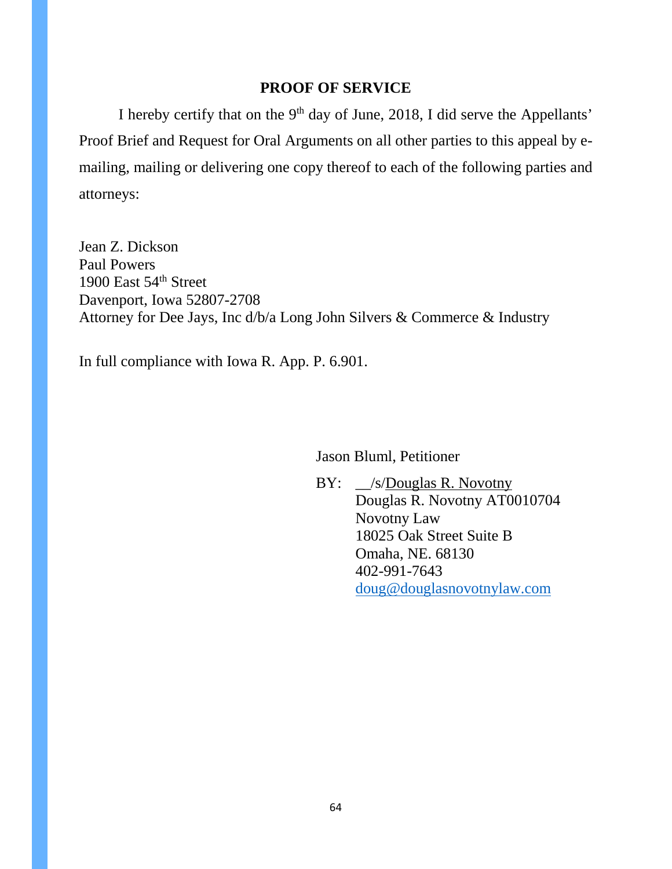# **PROOF OF SERVICE**

I hereby certify that on the 9<sup>th</sup> day of June, 2018, I did serve the Appellants' Proof Brief and Request for Oral Arguments on all other parties to this appeal by emailing, mailing or delivering one copy thereof to each of the following parties and attorneys:

Jean Z. Dickson Paul Powers 1900 East 54<sup>th</sup> Street Davenport, Iowa 52807-2708 Attorney for Dee Jays, Inc d/b/a Long John Silvers & Commerce & Industry

In full compliance with Iowa R. App. P. 6.901.

Jason Bluml, Petitioner